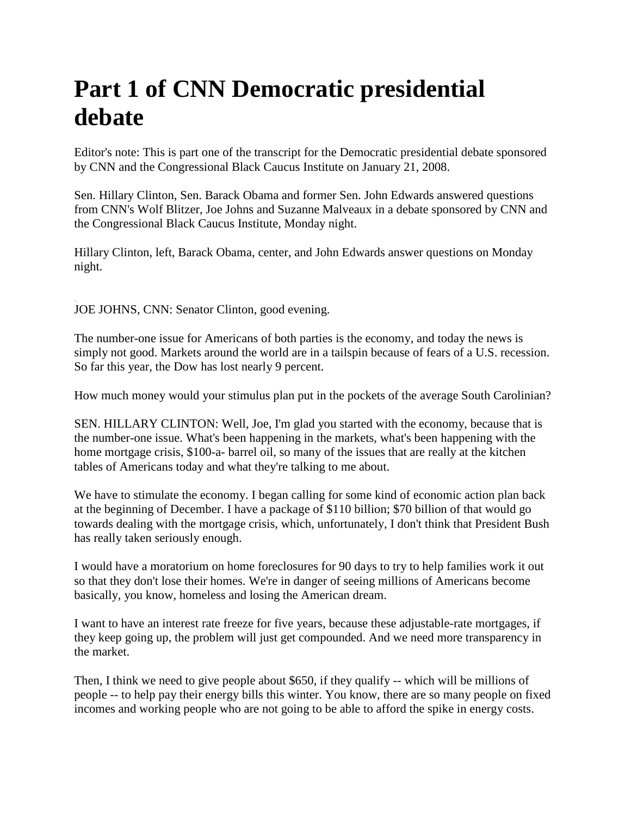# **Part 1 of CNN Democratic presidential debate**

Editor's note: This is part one of the transcript for the Democratic presidential debate sponsored by CNN and the Congressional Black Caucus Institute on January 21, 2008.

Sen. Hillary Clinton, Sen. Barack Obama and former Sen. John Edwards answered questions from CNN's Wolf Blitzer, Joe Johns and Suzanne Malveaux in a debate sponsored by CNN and the Congressional Black Caucus Institute, Monday night.

Hillary Clinton, left, Barack Obama, center, and John Edwards answer questions on Monday night.

JOE JOHNS, CNN: Senator Clinton, good evening.

The number-one issue for Americans of both parties is the economy, and today the news is simply not good. Markets around the world are in a tailspin because of fears of a U.S. recession. So far this year, the Dow has lost nearly 9 percent.

How much money would your stimulus plan put in the pockets of the average South Carolinian?

SEN. HILLARY CLINTON: Well, Joe, I'm glad you started with the economy, because that is the number-one issue. What's been happening in the markets, what's been happening with the home mortgage crisis, \$100-a- barrel oil, so many of the issues that are really at the kitchen tables of Americans today and what they're talking to me about.

We have to stimulate the economy. I began calling for some kind of economic action plan back at the beginning of December. I have a package of \$110 billion; \$70 billion of that would go towards dealing with the mortgage crisis, which, unfortunately, I don't think that President Bush has really taken seriously enough.

I would have a moratorium on home foreclosures for 90 days to try to help families work it out so that they don't lose their homes. We're in danger of seeing millions of Americans become basically, you know, homeless and losing the American dream.

I want to have an interest rate freeze for five years, because these adjustable-rate mortgages, if they keep going up, the problem will just get compounded. And we need more transparency in the market.

Then, I think we need to give people about \$650, if they qualify -- which will be millions of people -- to help pay their energy bills this winter. You know, there are so many people on fixed incomes and working people who are not going to be able to afford the spike in energy costs.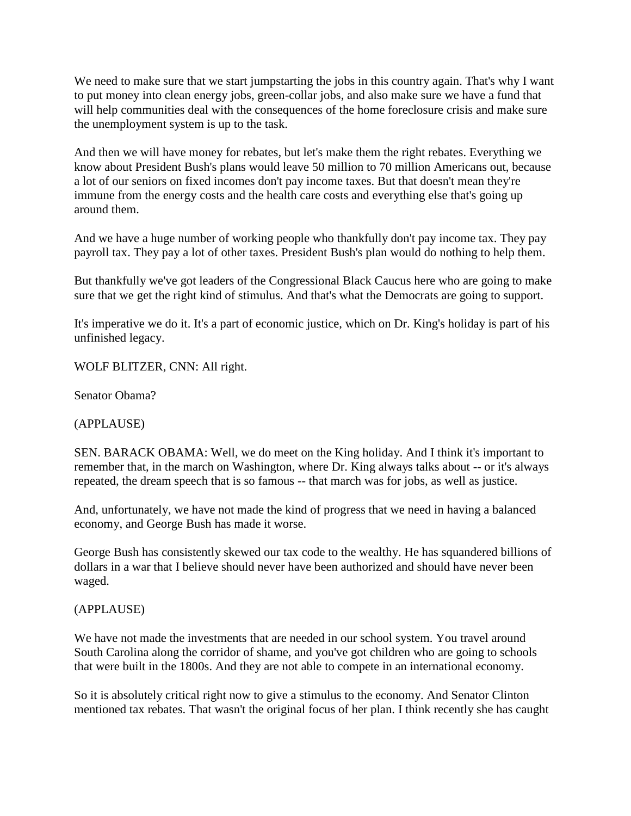We need to make sure that we start jumpstarting the jobs in this country again. That's why I want to put money into clean energy jobs, green-collar jobs, and also make sure we have a fund that will help communities deal with the consequences of the home foreclosure crisis and make sure the unemployment system is up to the task.

And then we will have money for rebates, but let's make them the right rebates. Everything we know about President Bush's plans would leave 50 million to 70 million Americans out, because a lot of our seniors on fixed incomes don't pay income taxes. But that doesn't mean they're immune from the energy costs and the health care costs and everything else that's going up around them.

And we have a huge number of working people who thankfully don't pay income tax. They pay payroll tax. They pay a lot of other taxes. President Bush's plan would do nothing to help them.

But thankfully we've got leaders of the Congressional Black Caucus here who are going to make sure that we get the right kind of stimulus. And that's what the Democrats are going to support.

It's imperative we do it. It's a part of economic justice, which on Dr. King's holiday is part of his unfinished legacy.

WOLF BLITZER, CNN: All right.

Senator Obama?

(APPLAUSE)

SEN. BARACK OBAMA: Well, we do meet on the King holiday. And I think it's important to remember that, in the march on Washington, where Dr. King always talks about -- or it's always repeated, the dream speech that is so famous -- that march was for jobs, as well as justice.

And, unfortunately, we have not made the kind of progress that we need in having a balanced economy, and George Bush has made it worse.

George Bush has consistently skewed our tax code to the wealthy. He has squandered billions of dollars in a war that I believe should never have been authorized and should have never been waged.

#### (APPLAUSE)

We have not made the investments that are needed in our school system. You travel around South Carolina along the corridor of shame, and you've got children who are going to schools that were built in the 1800s. And they are not able to compete in an international economy.

So it is absolutely critical right now to give a stimulus to the economy. And Senator Clinton mentioned tax rebates. That wasn't the original focus of her plan. I think recently she has caught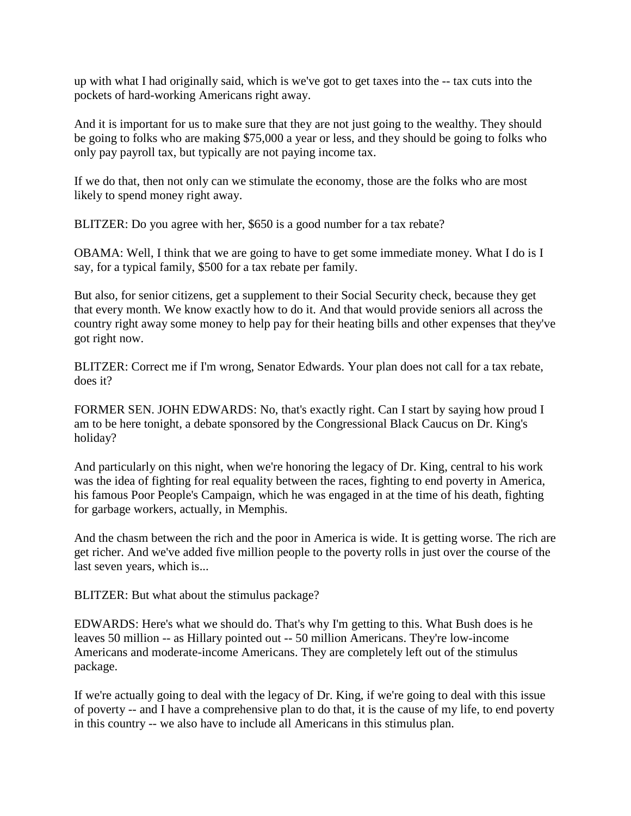up with what I had originally said, which is we've got to get taxes into the -- tax cuts into the pockets of hard-working Americans right away.

And it is important for us to make sure that they are not just going to the wealthy. They should be going to folks who are making \$75,000 a year or less, and they should be going to folks who only pay payroll tax, but typically are not paying income tax.

If we do that, then not only can we stimulate the economy, those are the folks who are most likely to spend money right away.

BLITZER: Do you agree with her, \$650 is a good number for a tax rebate?

OBAMA: Well, I think that we are going to have to get some immediate money. What I do is I say, for a typical family, \$500 for a tax rebate per family.

But also, for senior citizens, get a supplement to their Social Security check, because they get that every month. We know exactly how to do it. And that would provide seniors all across the country right away some money to help pay for their heating bills and other expenses that they've got right now.

BLITZER: Correct me if I'm wrong, Senator Edwards. Your plan does not call for a tax rebate, does it?

FORMER SEN. JOHN EDWARDS: No, that's exactly right. Can I start by saying how proud I am to be here tonight, a debate sponsored by the Congressional Black Caucus on Dr. King's holiday?

And particularly on this night, when we're honoring the legacy of Dr. King, central to his work was the idea of fighting for real equality between the races, fighting to end poverty in America, his famous Poor People's Campaign, which he was engaged in at the time of his death, fighting for garbage workers, actually, in Memphis.

And the chasm between the rich and the poor in America is wide. It is getting worse. The rich are get richer. And we've added five million people to the poverty rolls in just over the course of the last seven years, which is...

BLITZER: But what about the stimulus package?

EDWARDS: Here's what we should do. That's why I'm getting to this. What Bush does is he leaves 50 million -- as Hillary pointed out -- 50 million Americans. They're low-income Americans and moderate-income Americans. They are completely left out of the stimulus package.

If we're actually going to deal with the legacy of Dr. King, if we're going to deal with this issue of poverty -- and I have a comprehensive plan to do that, it is the cause of my life, to end poverty in this country -- we also have to include all Americans in this stimulus plan.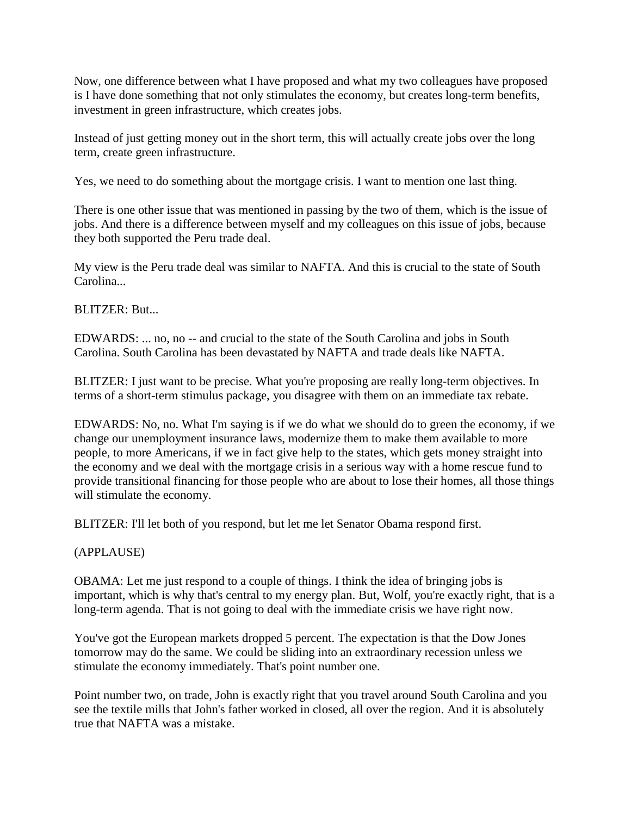Now, one difference between what I have proposed and what my two colleagues have proposed is I have done something that not only stimulates the economy, but creates long-term benefits, investment in green infrastructure, which creates jobs.

Instead of just getting money out in the short term, this will actually create jobs over the long term, create green infrastructure.

Yes, we need to do something about the mortgage crisis. I want to mention one last thing.

There is one other issue that was mentioned in passing by the two of them, which is the issue of jobs. And there is a difference between myself and my colleagues on this issue of jobs, because they both supported the Peru trade deal.

My view is the Peru trade deal was similar to NAFTA. And this is crucial to the state of South Carolina...

BLITZER: But...

EDWARDS: ... no, no -- and crucial to the state of the South Carolina and jobs in South Carolina. South Carolina has been devastated by NAFTA and trade deals like NAFTA.

BLITZER: I just want to be precise. What you're proposing are really long-term objectives. In terms of a short-term stimulus package, you disagree with them on an immediate tax rebate.

EDWARDS: No, no. What I'm saying is if we do what we should do to green the economy, if we change our unemployment insurance laws, modernize them to make them available to more people, to more Americans, if we in fact give help to the states, which gets money straight into the economy and we deal with the mortgage crisis in a serious way with a home rescue fund to provide transitional financing for those people who are about to lose their homes, all those things will stimulate the economy.

BLITZER: I'll let both of you respond, but let me let Senator Obama respond first.

(APPLAUSE)

OBAMA: Let me just respond to a couple of things. I think the idea of bringing jobs is important, which is why that's central to my energy plan. But, Wolf, you're exactly right, that is a long-term agenda. That is not going to deal with the immediate crisis we have right now.

You've got the European markets dropped 5 percent. The expectation is that the Dow Jones tomorrow may do the same. We could be sliding into an extraordinary recession unless we stimulate the economy immediately. That's point number one.

Point number two, on trade, John is exactly right that you travel around South Carolina and you see the textile mills that John's father worked in closed, all over the region. And it is absolutely true that NAFTA was a mistake.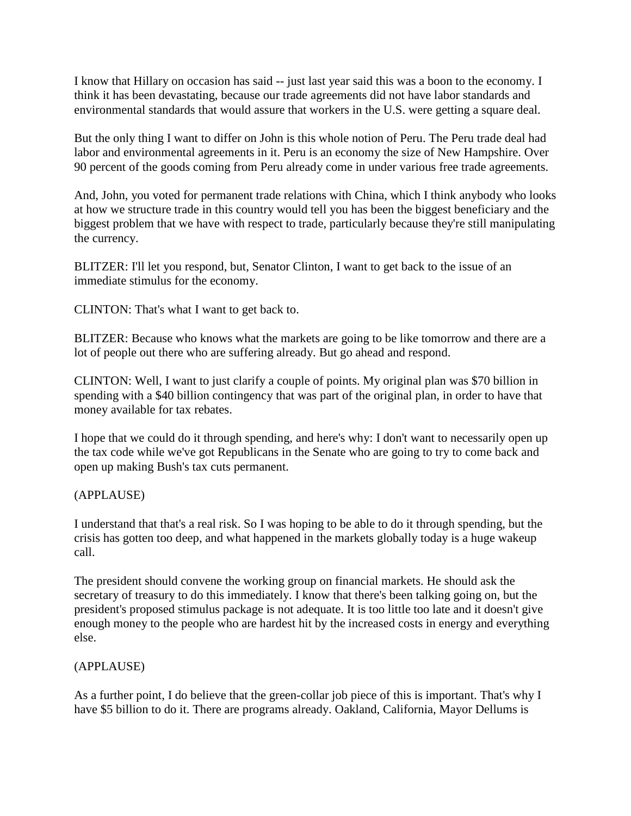I know that Hillary on occasion has said -- just last year said this was a boon to the economy. I think it has been devastating, because our trade agreements did not have labor standards and environmental standards that would assure that workers in the U.S. were getting a square deal.

But the only thing I want to differ on John is this whole notion of Peru. The Peru trade deal had labor and environmental agreements in it. Peru is an economy the size of New Hampshire. Over 90 percent of the goods coming from Peru already come in under various free trade agreements.

And, John, you voted for permanent trade relations with China, which I think anybody who looks at how we structure trade in this country would tell you has been the biggest beneficiary and the biggest problem that we have with respect to trade, particularly because they're still manipulating the currency.

BLITZER: I'll let you respond, but, Senator Clinton, I want to get back to the issue of an immediate stimulus for the economy.

CLINTON: That's what I want to get back to.

BLITZER: Because who knows what the markets are going to be like tomorrow and there are a lot of people out there who are suffering already. But go ahead and respond.

CLINTON: Well, I want to just clarify a couple of points. My original plan was \$70 billion in spending with a \$40 billion contingency that was part of the original plan, in order to have that money available for tax rebates.

I hope that we could do it through spending, and here's why: I don't want to necessarily open up the tax code while we've got Republicans in the Senate who are going to try to come back and open up making Bush's tax cuts permanent.

## (APPLAUSE)

I understand that that's a real risk. So I was hoping to be able to do it through spending, but the crisis has gotten too deep, and what happened in the markets globally today is a huge wakeup call.

The president should convene the working group on financial markets. He should ask the secretary of treasury to do this immediately. I know that there's been talking going on, but the president's proposed stimulus package is not adequate. It is too little too late and it doesn't give enough money to the people who are hardest hit by the increased costs in energy and everything else.

## (APPLAUSE)

As a further point, I do believe that the green-collar job piece of this is important. That's why I have \$5 billion to do it. There are programs already. Oakland, California, Mayor Dellums is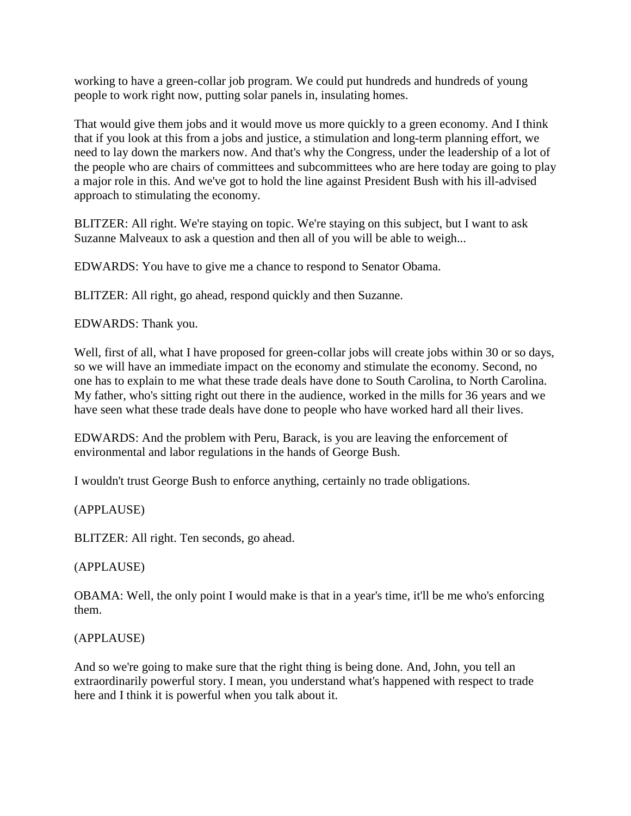working to have a green-collar job program. We could put hundreds and hundreds of young people to work right now, putting solar panels in, insulating homes.

That would give them jobs and it would move us more quickly to a green economy. And I think that if you look at this from a jobs and justice, a stimulation and long-term planning effort, we need to lay down the markers now. And that's why the Congress, under the leadership of a lot of the people who are chairs of committees and subcommittees who are here today are going to play a major role in this. And we've got to hold the line against President Bush with his ill-advised approach to stimulating the economy.

BLITZER: All right. We're staying on topic. We're staying on this subject, but I want to ask Suzanne Malveaux to ask a question and then all of you will be able to weigh...

EDWARDS: You have to give me a chance to respond to Senator Obama.

BLITZER: All right, go ahead, respond quickly and then Suzanne.

EDWARDS: Thank you.

Well, first of all, what I have proposed for green-collar jobs will create jobs within 30 or so days, so we will have an immediate impact on the economy and stimulate the economy. Second, no one has to explain to me what these trade deals have done to South Carolina, to North Carolina. My father, who's sitting right out there in the audience, worked in the mills for 36 years and we have seen what these trade deals have done to people who have worked hard all their lives.

EDWARDS: And the problem with Peru, Barack, is you are leaving the enforcement of environmental and labor regulations in the hands of George Bush.

I wouldn't trust George Bush to enforce anything, certainly no trade obligations.

## (APPLAUSE)

BLITZER: All right. Ten seconds, go ahead.

#### (APPLAUSE)

OBAMA: Well, the only point I would make is that in a year's time, it'll be me who's enforcing them.

#### (APPLAUSE)

And so we're going to make sure that the right thing is being done. And, John, you tell an extraordinarily powerful story. I mean, you understand what's happened with respect to trade here and I think it is powerful when you talk about it.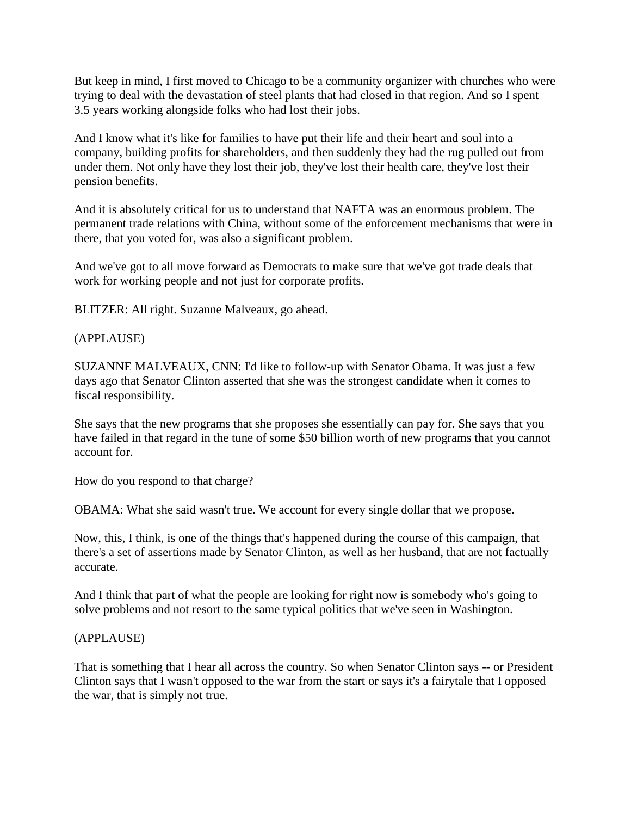But keep in mind, I first moved to Chicago to be a community organizer with churches who were trying to deal with the devastation of steel plants that had closed in that region. And so I spent 3.5 years working alongside folks who had lost their jobs.

And I know what it's like for families to have put their life and their heart and soul into a company, building profits for shareholders, and then suddenly they had the rug pulled out from under them. Not only have they lost their job, they've lost their health care, they've lost their pension benefits.

And it is absolutely critical for us to understand that NAFTA was an enormous problem. The permanent trade relations with China, without some of the enforcement mechanisms that were in there, that you voted for, was also a significant problem.

And we've got to all move forward as Democrats to make sure that we've got trade deals that work for working people and not just for corporate profits.

BLITZER: All right. Suzanne Malveaux, go ahead.

## (APPLAUSE)

SUZANNE MALVEAUX, CNN: I'd like to follow-up with Senator Obama. It was just a few days ago that Senator Clinton asserted that she was the strongest candidate when it comes to fiscal responsibility.

She says that the new programs that she proposes she essentially can pay for. She says that you have failed in that regard in the tune of some \$50 billion worth of new programs that you cannot account for.

How do you respond to that charge?

OBAMA: What she said wasn't true. We account for every single dollar that we propose.

Now, this, I think, is one of the things that's happened during the course of this campaign, that there's a set of assertions made by Senator Clinton, as well as her husband, that are not factually accurate.

And I think that part of what the people are looking for right now is somebody who's going to solve problems and not resort to the same typical politics that we've seen in Washington.

## (APPLAUSE)

That is something that I hear all across the country. So when Senator Clinton says -- or President Clinton says that I wasn't opposed to the war from the start or says it's a fairytale that I opposed the war, that is simply not true.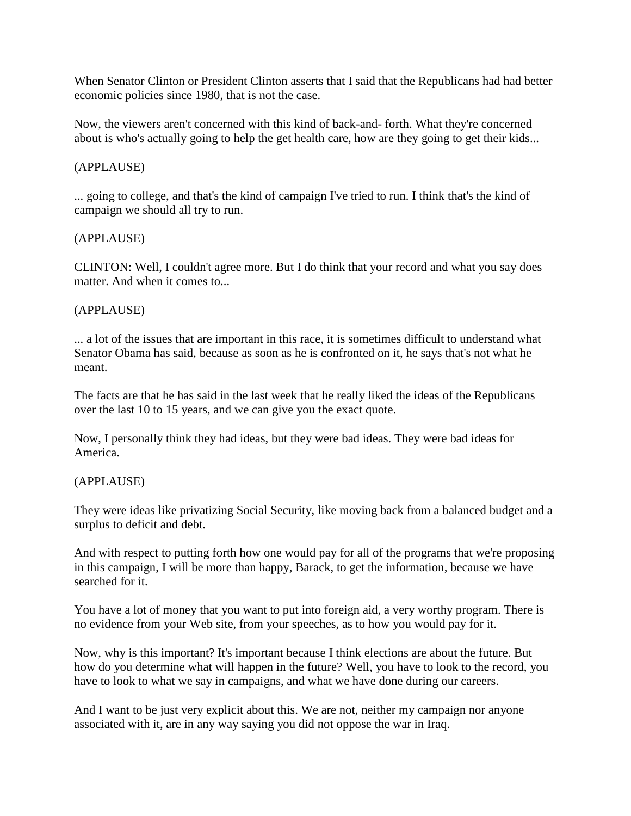When Senator Clinton or President Clinton asserts that I said that the Republicans had had better economic policies since 1980, that is not the case.

Now, the viewers aren't concerned with this kind of back-and- forth. What they're concerned about is who's actually going to help the get health care, how are they going to get their kids...

#### (APPLAUSE)

... going to college, and that's the kind of campaign I've tried to run. I think that's the kind of campaign we should all try to run.

#### (APPLAUSE)

CLINTON: Well, I couldn't agree more. But I do think that your record and what you say does matter. And when it comes to...

#### (APPLAUSE)

... a lot of the issues that are important in this race, it is sometimes difficult to understand what Senator Obama has said, because as soon as he is confronted on it, he says that's not what he meant.

The facts are that he has said in the last week that he really liked the ideas of the Republicans over the last 10 to 15 years, and we can give you the exact quote.

Now, I personally think they had ideas, but they were bad ideas. They were bad ideas for America.

#### (APPLAUSE)

They were ideas like privatizing Social Security, like moving back from a balanced budget and a surplus to deficit and debt.

And with respect to putting forth how one would pay for all of the programs that we're proposing in this campaign, I will be more than happy, Barack, to get the information, because we have searched for it.

You have a lot of money that you want to put into foreign aid, a very worthy program. There is no evidence from your Web site, from your speeches, as to how you would pay for it.

Now, why is this important? It's important because I think elections are about the future. But how do you determine what will happen in the future? Well, you have to look to the record, you have to look to what we say in campaigns, and what we have done during our careers.

And I want to be just very explicit about this. We are not, neither my campaign nor anyone associated with it, are in any way saying you did not oppose the war in Iraq.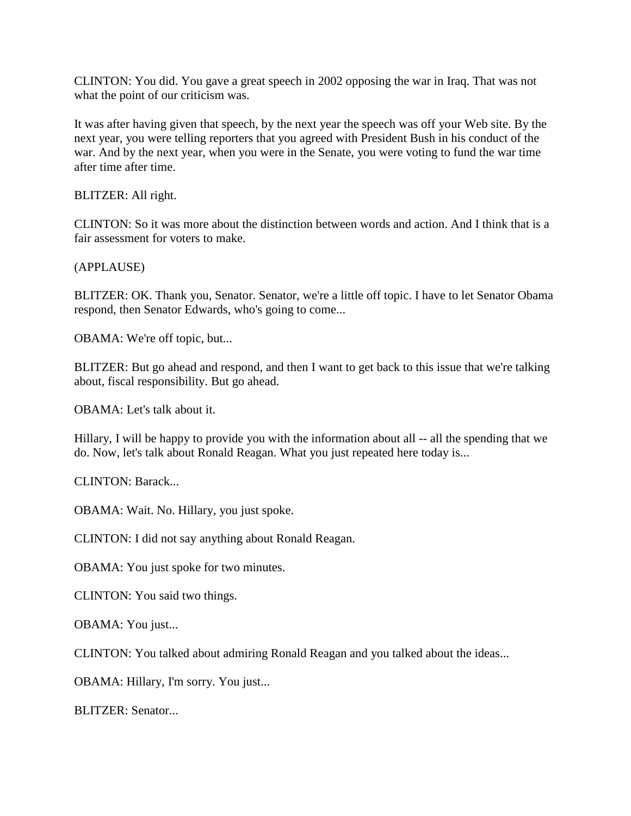CLINTON: You did. You gave a great speech in 2002 opposing the war in Iraq. That was not what the point of our criticism was.

It was after having given that speech, by the next year the speech was off your Web site. By the next year, you were telling reporters that you agreed with President Bush in his conduct of the war. And by the next year, when you were in the Senate, you were voting to fund the war time after time after time.

BLITZER: All right.

CLINTON: So it was more about the distinction between words and action. And I think that is a fair assessment for voters to make.

(APPLAUSE)

BLITZER: OK. Thank you, Senator. Senator, we're a little off topic. I have to let Senator Obama respond, then Senator Edwards, who's going to come...

OBAMA: We're off topic, but...

BLITZER: But go ahead and respond, and then I want to get back to this issue that we're talking about, fiscal responsibility. But go ahead.

OBAMA: Let's talk about it.

Hillary, I will be happy to provide you with the information about all -- all the spending that we do. Now, let's talk about Ronald Reagan. What you just repeated here today is...

CLINTON: Barack...

OBAMA: Wait. No. Hillary, you just spoke.

CLINTON: I did not say anything about Ronald Reagan.

OBAMA: You just spoke for two minutes.

CLINTON: You said two things.

OBAMA: You just...

CLINTON: You talked about admiring Ronald Reagan and you talked about the ideas...

OBAMA: Hillary, I'm sorry. You just...

BLITZER: Senator...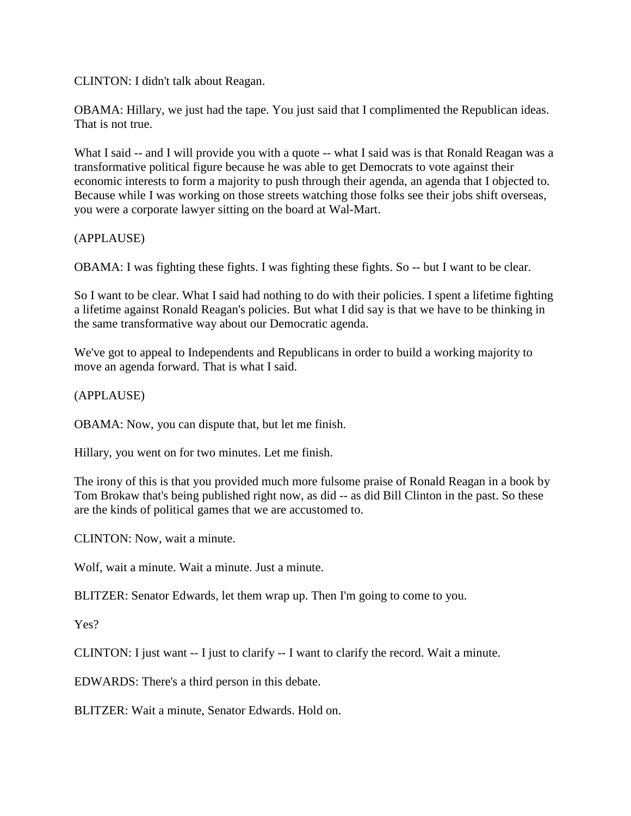CLINTON: I didn't talk about Reagan.

OBAMA: Hillary, we just had the tape. You just said that I complimented the Republican ideas. That is not true.

What I said -- and I will provide you with a quote -- what I said was is that Ronald Reagan was a transformative political figure because he was able to get Democrats to vote against their economic interests to form a majority to push through their agenda, an agenda that I objected to. Because while I was working on those streets watching those folks see their jobs shift overseas, you were a corporate lawyer sitting on the board at Wal-Mart.

(APPLAUSE)

OBAMA: I was fighting these fights. I was fighting these fights. So -- but I want to be clear.

So I want to be clear. What I said had nothing to do with their policies. I spent a lifetime fighting a lifetime against Ronald Reagan's policies. But what I did say is that we have to be thinking in the same transformative way about our Democratic agenda.

We've got to appeal to Independents and Republicans in order to build a working majority to move an agenda forward. That is what I said.

(APPLAUSE)

OBAMA: Now, you can dispute that, but let me finish.

Hillary, you went on for two minutes. Let me finish.

The irony of this is that you provided much more fulsome praise of Ronald Reagan in a book by Tom Brokaw that's being published right now, as did -- as did Bill Clinton in the past. So these are the kinds of political games that we are accustomed to.

CLINTON: Now, wait a minute.

Wolf, wait a minute. Wait a minute. Just a minute.

BLITZER: Senator Edwards, let them wrap up. Then I'm going to come to you.

Yes?

CLINTON: I just want -- I just to clarify -- I want to clarify the record. Wait a minute.

EDWARDS: There's a third person in this debate.

BLITZER: Wait a minute, Senator Edwards. Hold on.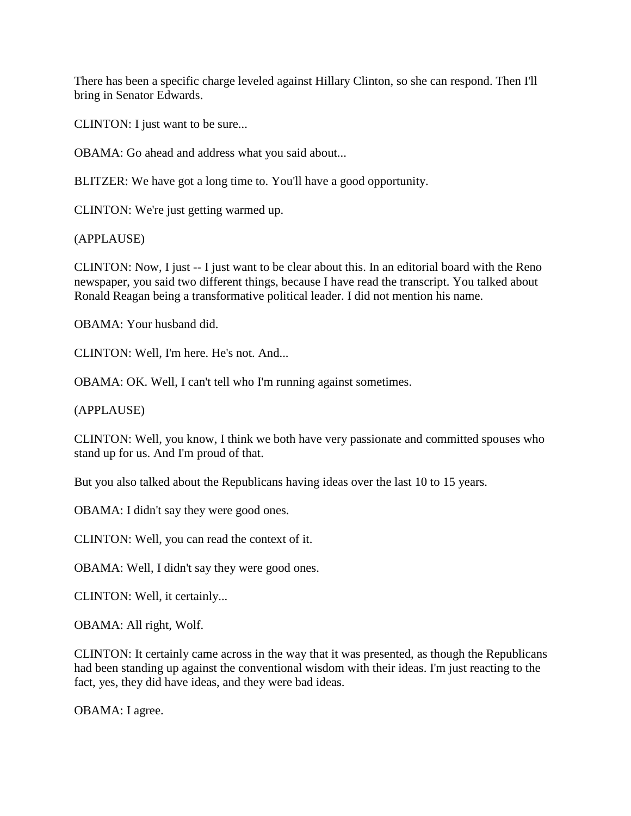There has been a specific charge leveled against Hillary Clinton, so she can respond. Then I'll bring in Senator Edwards.

CLINTON: I just want to be sure...

OBAMA: Go ahead and address what you said about...

BLITZER: We have got a long time to. You'll have a good opportunity.

CLINTON: We're just getting warmed up.

(APPLAUSE)

CLINTON: Now, I just -- I just want to be clear about this. In an editorial board with the Reno newspaper, you said two different things, because I have read the transcript. You talked about Ronald Reagan being a transformative political leader. I did not mention his name.

OBAMA: Your husband did.

CLINTON: Well, I'm here. He's not. And...

OBAMA: OK. Well, I can't tell who I'm running against sometimes.

(APPLAUSE)

CLINTON: Well, you know, I think we both have very passionate and committed spouses who stand up for us. And I'm proud of that.

But you also talked about the Republicans having ideas over the last 10 to 15 years.

OBAMA: I didn't say they were good ones.

CLINTON: Well, you can read the context of it.

OBAMA: Well, I didn't say they were good ones.

CLINTON: Well, it certainly...

OBAMA: All right, Wolf.

CLINTON: It certainly came across in the way that it was presented, as though the Republicans had been standing up against the conventional wisdom with their ideas. I'm just reacting to the fact, yes, they did have ideas, and they were bad ideas.

OBAMA: I agree.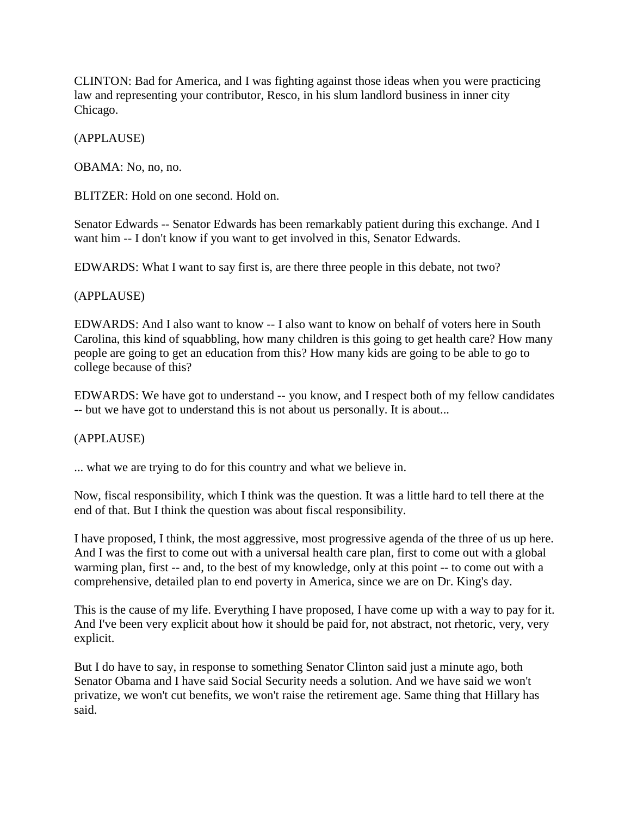CLINTON: Bad for America, and I was fighting against those ideas when you were practicing law and representing your contributor, Resco, in his slum landlord business in inner city Chicago.

(APPLAUSE)

OBAMA: No, no, no.

BLITZER: Hold on one second. Hold on.

Senator Edwards -- Senator Edwards has been remarkably patient during this exchange. And I want him -- I don't know if you want to get involved in this, Senator Edwards.

EDWARDS: What I want to say first is, are there three people in this debate, not two?

#### (APPLAUSE)

EDWARDS: And I also want to know -- I also want to know on behalf of voters here in South Carolina, this kind of squabbling, how many children is this going to get health care? How many people are going to get an education from this? How many kids are going to be able to go to college because of this?

EDWARDS: We have got to understand -- you know, and I respect both of my fellow candidates -- but we have got to understand this is not about us personally. It is about...

#### (APPLAUSE)

... what we are trying to do for this country and what we believe in.

Now, fiscal responsibility, which I think was the question. It was a little hard to tell there at the end of that. But I think the question was about fiscal responsibility.

I have proposed, I think, the most aggressive, most progressive agenda of the three of us up here. And I was the first to come out with a universal health care plan, first to come out with a global warming plan, first -- and, to the best of my knowledge, only at this point -- to come out with a comprehensive, detailed plan to end poverty in America, since we are on Dr. King's day.

This is the cause of my life. Everything I have proposed, I have come up with a way to pay for it. And I've been very explicit about how it should be paid for, not abstract, not rhetoric, very, very explicit.

But I do have to say, in response to something Senator Clinton said just a minute ago, both Senator Obama and I have said Social Security needs a solution. And we have said we won't privatize, we won't cut benefits, we won't raise the retirement age. Same thing that Hillary has said.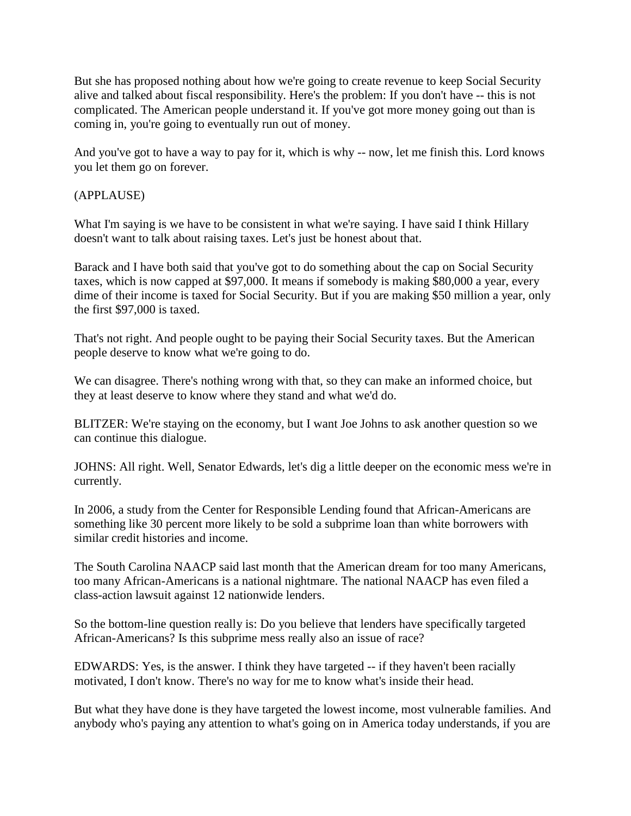But she has proposed nothing about how we're going to create revenue to keep Social Security alive and talked about fiscal responsibility. Here's the problem: If you don't have -- this is not complicated. The American people understand it. If you've got more money going out than is coming in, you're going to eventually run out of money.

And you've got to have a way to pay for it, which is why -- now, let me finish this. Lord knows you let them go on forever.

## (APPLAUSE)

What I'm saying is we have to be consistent in what we're saying. I have said I think Hillary doesn't want to talk about raising taxes. Let's just be honest about that.

Barack and I have both said that you've got to do something about the cap on Social Security taxes, which is now capped at \$97,000. It means if somebody is making \$80,000 a year, every dime of their income is taxed for Social Security. But if you are making \$50 million a year, only the first \$97,000 is taxed.

That's not right. And people ought to be paying their Social Security taxes. But the American people deserve to know what we're going to do.

We can disagree. There's nothing wrong with that, so they can make an informed choice, but they at least deserve to know where they stand and what we'd do.

BLITZER: We're staying on the economy, but I want Joe Johns to ask another question so we can continue this dialogue.

JOHNS: All right. Well, Senator Edwards, let's dig a little deeper on the economic mess we're in currently.

In 2006, a study from the Center for Responsible Lending found that African-Americans are something like 30 percent more likely to be sold a subprime loan than white borrowers with similar credit histories and income.

The South Carolina NAACP said last month that the American dream for too many Americans, too many African-Americans is a national nightmare. The national NAACP has even filed a class-action lawsuit against 12 nationwide lenders.

So the bottom-line question really is: Do you believe that lenders have specifically targeted African-Americans? Is this subprime mess really also an issue of race?

EDWARDS: Yes, is the answer. I think they have targeted -- if they haven't been racially motivated, I don't know. There's no way for me to know what's inside their head.

But what they have done is they have targeted the lowest income, most vulnerable families. And anybody who's paying any attention to what's going on in America today understands, if you are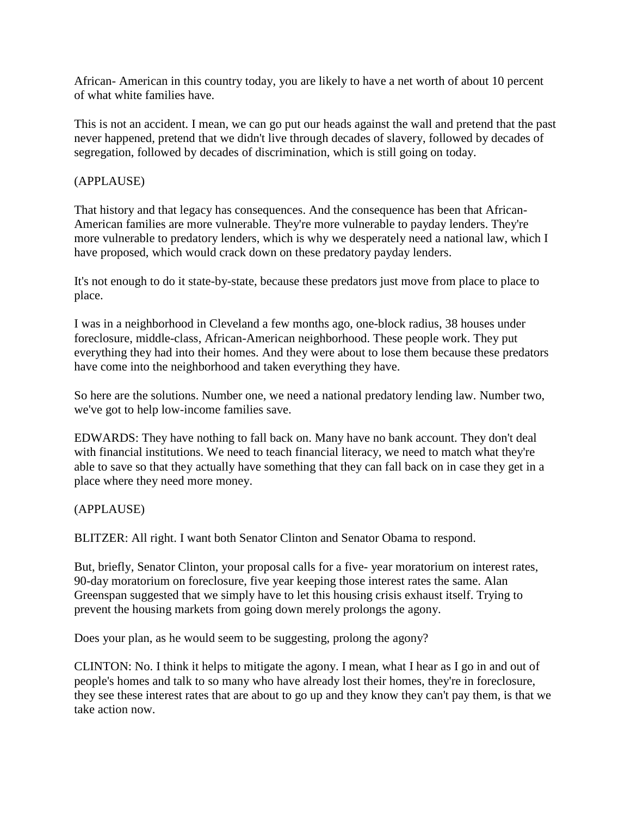African- American in this country today, you are likely to have a net worth of about 10 percent of what white families have.

This is not an accident. I mean, we can go put our heads against the wall and pretend that the past never happened, pretend that we didn't live through decades of slavery, followed by decades of segregation, followed by decades of discrimination, which is still going on today.

## (APPLAUSE)

That history and that legacy has consequences. And the consequence has been that African-American families are more vulnerable. They're more vulnerable to payday lenders. They're more vulnerable to predatory lenders, which is why we desperately need a national law, which I have proposed, which would crack down on these predatory payday lenders.

It's not enough to do it state-by-state, because these predators just move from place to place to place.

I was in a neighborhood in Cleveland a few months ago, one-block radius, 38 houses under foreclosure, middle-class, African-American neighborhood. These people work. They put everything they had into their homes. And they were about to lose them because these predators have come into the neighborhood and taken everything they have.

So here are the solutions. Number one, we need a national predatory lending law. Number two, we've got to help low-income families save.

EDWARDS: They have nothing to fall back on. Many have no bank account. They don't deal with financial institutions. We need to teach financial literacy, we need to match what they're able to save so that they actually have something that they can fall back on in case they get in a place where they need more money.

#### (APPLAUSE)

BLITZER: All right. I want both Senator Clinton and Senator Obama to respond.

But, briefly, Senator Clinton, your proposal calls for a five- year moratorium on interest rates, 90-day moratorium on foreclosure, five year keeping those interest rates the same. Alan Greenspan suggested that we simply have to let this housing crisis exhaust itself. Trying to prevent the housing markets from going down merely prolongs the agony.

Does your plan, as he would seem to be suggesting, prolong the agony?

CLINTON: No. I think it helps to mitigate the agony. I mean, what I hear as I go in and out of people's homes and talk to so many who have already lost their homes, they're in foreclosure, they see these interest rates that are about to go up and they know they can't pay them, is that we take action now.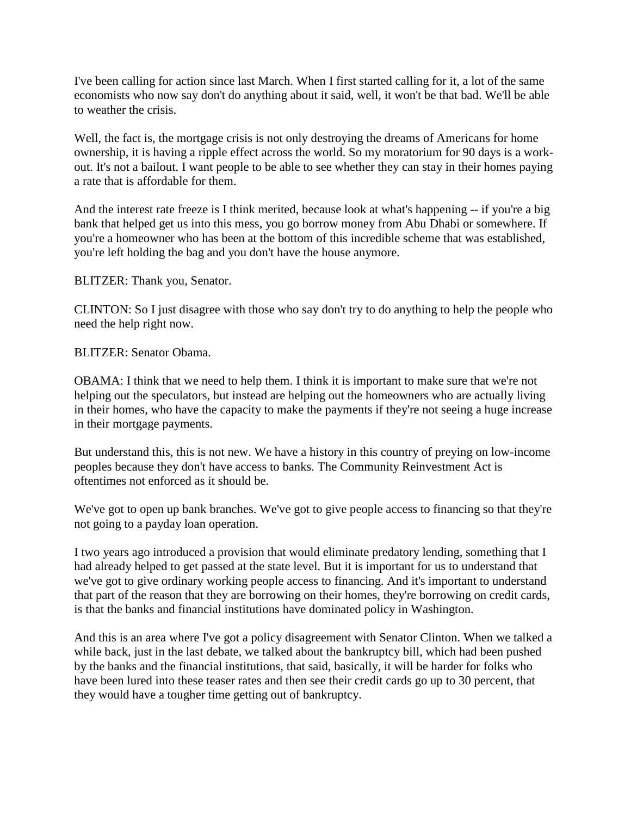I've been calling for action since last March. When I first started calling for it, a lot of the same economists who now say don't do anything about it said, well, it won't be that bad. We'll be able to weather the crisis.

Well, the fact is, the mortgage crisis is not only destroying the dreams of Americans for home ownership, it is having a ripple effect across the world. So my moratorium for 90 days is a workout. It's not a bailout. I want people to be able to see whether they can stay in their homes paying a rate that is affordable for them.

And the interest rate freeze is I think merited, because look at what's happening -- if you're a big bank that helped get us into this mess, you go borrow money from Abu Dhabi or somewhere. If you're a homeowner who has been at the bottom of this incredible scheme that was established, you're left holding the bag and you don't have the house anymore.

BLITZER: Thank you, Senator.

CLINTON: So I just disagree with those who say don't try to do anything to help the people who need the help right now.

BLITZER: Senator Obama.

OBAMA: I think that we need to help them. I think it is important to make sure that we're not helping out the speculators, but instead are helping out the homeowners who are actually living in their homes, who have the capacity to make the payments if they're not seeing a huge increase in their mortgage payments.

But understand this, this is not new. We have a history in this country of preying on low-income peoples because they don't have access to banks. The Community Reinvestment Act is oftentimes not enforced as it should be.

We've got to open up bank branches. We've got to give people access to financing so that they're not going to a payday loan operation.

I two years ago introduced a provision that would eliminate predatory lending, something that I had already helped to get passed at the state level. But it is important for us to understand that we've got to give ordinary working people access to financing. And it's important to understand that part of the reason that they are borrowing on their homes, they're borrowing on credit cards, is that the banks and financial institutions have dominated policy in Washington.

And this is an area where I've got a policy disagreement with Senator Clinton. When we talked a while back, just in the last debate, we talked about the bankruptcy bill, which had been pushed by the banks and the financial institutions, that said, basically, it will be harder for folks who have been lured into these teaser rates and then see their credit cards go up to 30 percent, that they would have a tougher time getting out of bankruptcy.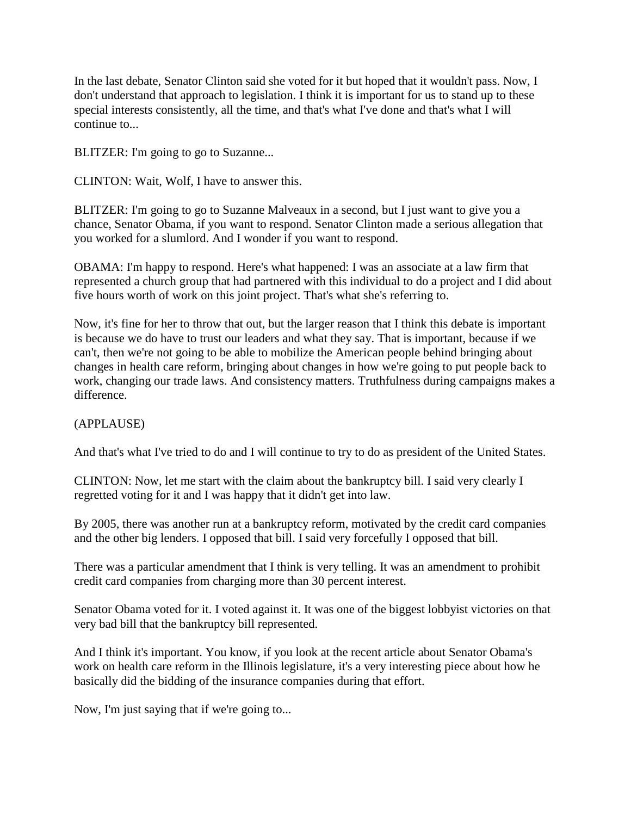In the last debate, Senator Clinton said she voted for it but hoped that it wouldn't pass. Now, I don't understand that approach to legislation. I think it is important for us to stand up to these special interests consistently, all the time, and that's what I've done and that's what I will continue to...

BLITZER: I'm going to go to Suzanne...

CLINTON: Wait, Wolf, I have to answer this.

BLITZER: I'm going to go to Suzanne Malveaux in a second, but I just want to give you a chance, Senator Obama, if you want to respond. Senator Clinton made a serious allegation that you worked for a slumlord. And I wonder if you want to respond.

OBAMA: I'm happy to respond. Here's what happened: I was an associate at a law firm that represented a church group that had partnered with this individual to do a project and I did about five hours worth of work on this joint project. That's what she's referring to.

Now, it's fine for her to throw that out, but the larger reason that I think this debate is important is because we do have to trust our leaders and what they say. That is important, because if we can't, then we're not going to be able to mobilize the American people behind bringing about changes in health care reform, bringing about changes in how we're going to put people back to work, changing our trade laws. And consistency matters. Truthfulness during campaigns makes a difference.

## (APPLAUSE)

And that's what I've tried to do and I will continue to try to do as president of the United States.

CLINTON: Now, let me start with the claim about the bankruptcy bill. I said very clearly I regretted voting for it and I was happy that it didn't get into law.

By 2005, there was another run at a bankruptcy reform, motivated by the credit card companies and the other big lenders. I opposed that bill. I said very forcefully I opposed that bill.

There was a particular amendment that I think is very telling. It was an amendment to prohibit credit card companies from charging more than 30 percent interest.

Senator Obama voted for it. I voted against it. It was one of the biggest lobbyist victories on that very bad bill that the bankruptcy bill represented.

And I think it's important. You know, if you look at the recent article about Senator Obama's work on health care reform in the Illinois legislature, it's a very interesting piece about how he basically did the bidding of the insurance companies during that effort.

Now, I'm just saying that if we're going to...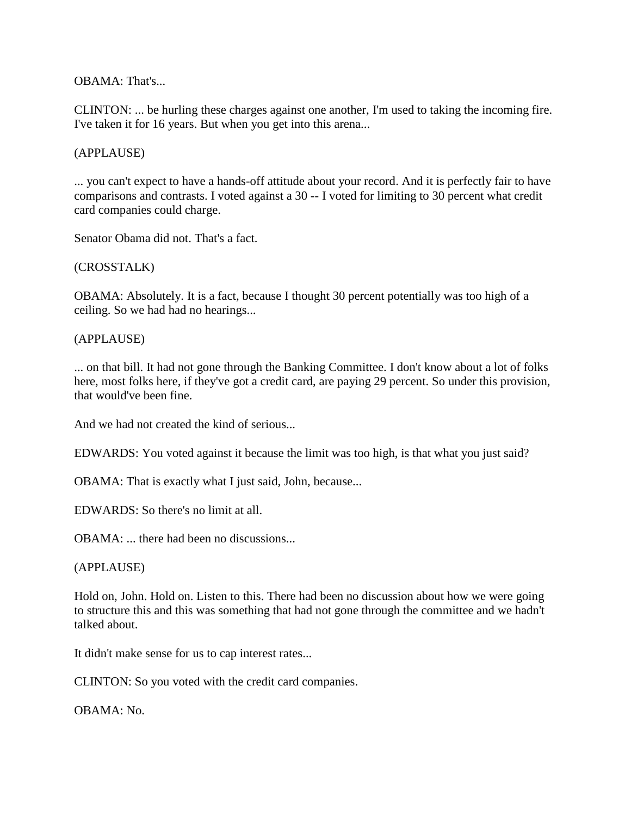OBAMA: That's...

CLINTON: ... be hurling these charges against one another, I'm used to taking the incoming fire. I've taken it for 16 years. But when you get into this arena...

## (APPLAUSE)

... you can't expect to have a hands-off attitude about your record. And it is perfectly fair to have comparisons and contrasts. I voted against a 30 -- I voted for limiting to 30 percent what credit card companies could charge.

Senator Obama did not. That's a fact.

## (CROSSTALK)

OBAMA: Absolutely. It is a fact, because I thought 30 percent potentially was too high of a ceiling. So we had had no hearings...

#### (APPLAUSE)

... on that bill. It had not gone through the Banking Committee. I don't know about a lot of folks here, most folks here, if they've got a credit card, are paying 29 percent. So under this provision, that would've been fine.

And we had not created the kind of serious...

EDWARDS: You voted against it because the limit was too high, is that what you just said?

OBAMA: That is exactly what I just said, John, because...

EDWARDS: So there's no limit at all.

OBAMA: ... there had been no discussions...

(APPLAUSE)

Hold on, John. Hold on. Listen to this. There had been no discussion about how we were going to structure this and this was something that had not gone through the committee and we hadn't talked about.

It didn't make sense for us to cap interest rates...

CLINTON: So you voted with the credit card companies.

OBAMA: No.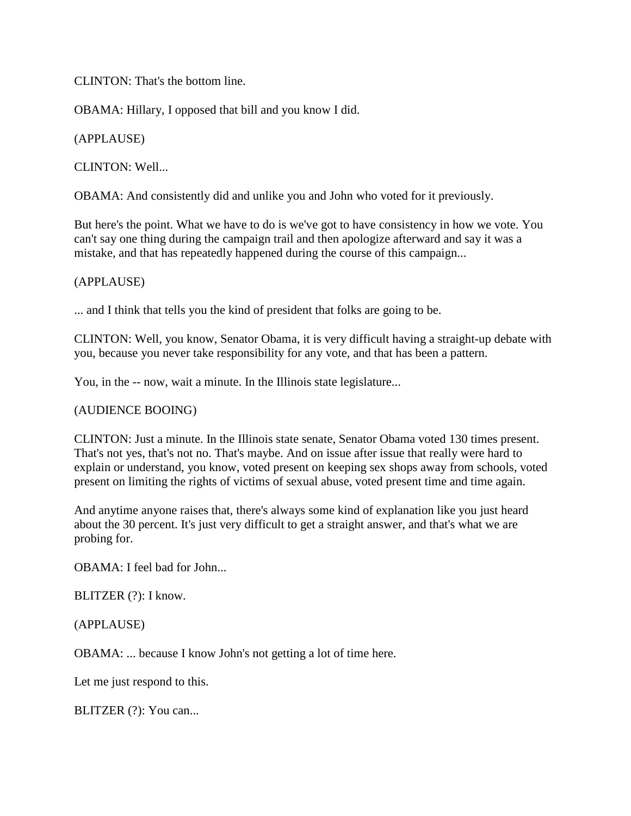CLINTON: That's the bottom line.

OBAMA: Hillary, I opposed that bill and you know I did.

## (APPLAUSE)

CLINTON: Well...

OBAMA: And consistently did and unlike you and John who voted for it previously.

But here's the point. What we have to do is we've got to have consistency in how we vote. You can't say one thing during the campaign trail and then apologize afterward and say it was a mistake, and that has repeatedly happened during the course of this campaign...

#### (APPLAUSE)

... and I think that tells you the kind of president that folks are going to be.

CLINTON: Well, you know, Senator Obama, it is very difficult having a straight-up debate with you, because you never take responsibility for any vote, and that has been a pattern.

You, in the -- now, wait a minute. In the Illinois state legislature...

#### (AUDIENCE BOOING)

CLINTON: Just a minute. In the Illinois state senate, Senator Obama voted 130 times present. That's not yes, that's not no. That's maybe. And on issue after issue that really were hard to explain or understand, you know, voted present on keeping sex shops away from schools, voted present on limiting the rights of victims of sexual abuse, voted present time and time again.

And anytime anyone raises that, there's always some kind of explanation like you just heard about the 30 percent. It's just very difficult to get a straight answer, and that's what we are probing for.

OBAMA: I feel bad for John...

BLITZER (?): I know.

#### (APPLAUSE)

OBAMA: ... because I know John's not getting a lot of time here.

Let me just respond to this.

BLITZER (?): You can...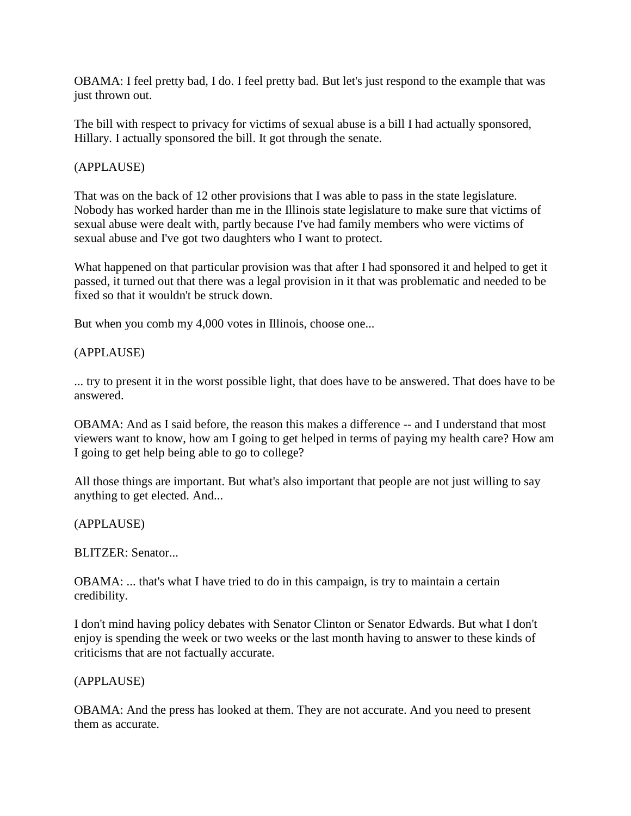OBAMA: I feel pretty bad, I do. I feel pretty bad. But let's just respond to the example that was just thrown out.

The bill with respect to privacy for victims of sexual abuse is a bill I had actually sponsored, Hillary. I actually sponsored the bill. It got through the senate.

## (APPLAUSE)

That was on the back of 12 other provisions that I was able to pass in the state legislature. Nobody has worked harder than me in the Illinois state legislature to make sure that victims of sexual abuse were dealt with, partly because I've had family members who were victims of sexual abuse and I've got two daughters who I want to protect.

What happened on that particular provision was that after I had sponsored it and helped to get it passed, it turned out that there was a legal provision in it that was problematic and needed to be fixed so that it wouldn't be struck down.

But when you comb my 4,000 votes in Illinois, choose one...

## (APPLAUSE)

... try to present it in the worst possible light, that does have to be answered. That does have to be answered.

OBAMA: And as I said before, the reason this makes a difference -- and I understand that most viewers want to know, how am I going to get helped in terms of paying my health care? How am I going to get help being able to go to college?

All those things are important. But what's also important that people are not just willing to say anything to get elected. And...

(APPLAUSE)

BLITZER: Senator...

OBAMA: ... that's what I have tried to do in this campaign, is try to maintain a certain credibility.

I don't mind having policy debates with Senator Clinton or Senator Edwards. But what I don't enjoy is spending the week or two weeks or the last month having to answer to these kinds of criticisms that are not factually accurate.

#### (APPLAUSE)

OBAMA: And the press has looked at them. They are not accurate. And you need to present them as accurate.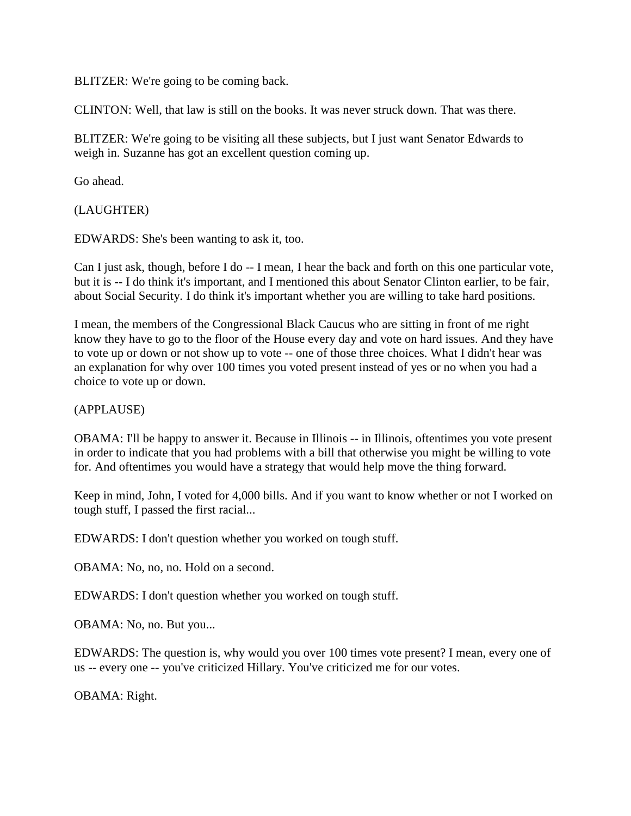BLITZER: We're going to be coming back.

CLINTON: Well, that law is still on the books. It was never struck down. That was there.

BLITZER: We're going to be visiting all these subjects, but I just want Senator Edwards to weigh in. Suzanne has got an excellent question coming up.

Go ahead.

(LAUGHTER)

EDWARDS: She's been wanting to ask it, too.

Can I just ask, though, before I do -- I mean, I hear the back and forth on this one particular vote, but it is -- I do think it's important, and I mentioned this about Senator Clinton earlier, to be fair, about Social Security. I do think it's important whether you are willing to take hard positions.

I mean, the members of the Congressional Black Caucus who are sitting in front of me right know they have to go to the floor of the House every day and vote on hard issues. And they have to vote up or down or not show up to vote -- one of those three choices. What I didn't hear was an explanation for why over 100 times you voted present instead of yes or no when you had a choice to vote up or down.

## (APPLAUSE)

OBAMA: I'll be happy to answer it. Because in Illinois -- in Illinois, oftentimes you vote present in order to indicate that you had problems with a bill that otherwise you might be willing to vote for. And oftentimes you would have a strategy that would help move the thing forward.

Keep in mind, John, I voted for 4,000 bills. And if you want to know whether or not I worked on tough stuff, I passed the first racial...

EDWARDS: I don't question whether you worked on tough stuff.

OBAMA: No, no, no. Hold on a second.

EDWARDS: I don't question whether you worked on tough stuff.

OBAMA: No, no. But you...

EDWARDS: The question is, why would you over 100 times vote present? I mean, every one of us -- every one -- you've criticized Hillary. You've criticized me for our votes.

OBAMA: Right.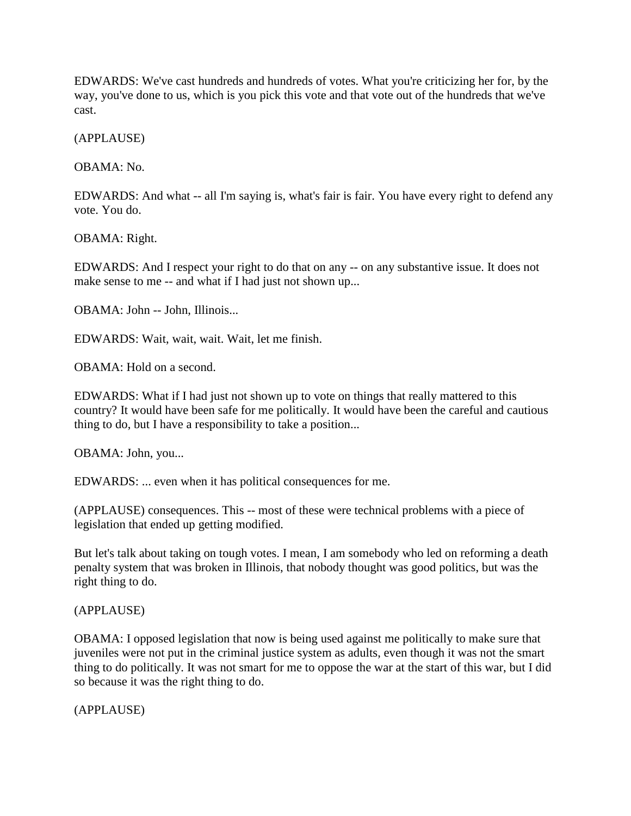EDWARDS: We've cast hundreds and hundreds of votes. What you're criticizing her for, by the way, you've done to us, which is you pick this vote and that vote out of the hundreds that we've cast.

(APPLAUSE)

OBAMA: No.

EDWARDS: And what -- all I'm saying is, what's fair is fair. You have every right to defend any vote. You do.

OBAMA: Right.

EDWARDS: And I respect your right to do that on any -- on any substantive issue. It does not make sense to me -- and what if I had just not shown up...

OBAMA: John -- John, Illinois...

EDWARDS: Wait, wait, wait. Wait, let me finish.

OBAMA: Hold on a second.

EDWARDS: What if I had just not shown up to vote on things that really mattered to this country? It would have been safe for me politically. It would have been the careful and cautious thing to do, but I have a responsibility to take a position...

OBAMA: John, you...

EDWARDS: ... even when it has political consequences for me.

(APPLAUSE) consequences. This -- most of these were technical problems with a piece of legislation that ended up getting modified.

But let's talk about taking on tough votes. I mean, I am somebody who led on reforming a death penalty system that was broken in Illinois, that nobody thought was good politics, but was the right thing to do.

(APPLAUSE)

OBAMA: I opposed legislation that now is being used against me politically to make sure that juveniles were not put in the criminal justice system as adults, even though it was not the smart thing to do politically. It was not smart for me to oppose the war at the start of this war, but I did so because it was the right thing to do.

(APPLAUSE)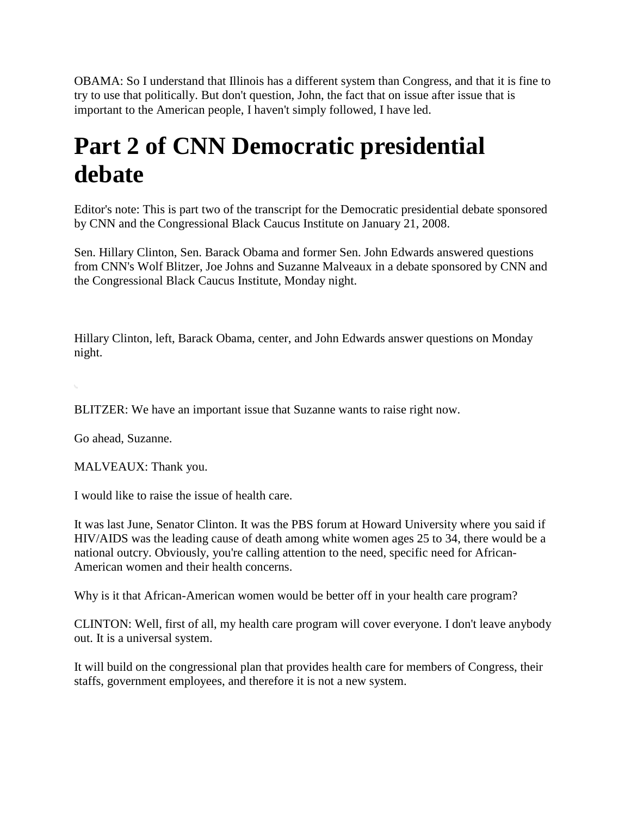OBAMA: So I understand that Illinois has a different system than Congress, and that it is fine to try to use that politically. But don't question, John, the fact that on issue after issue that is important to the American people, I haven't simply followed, I have led.

## **Part 2 of CNN Democratic presidential debate**

Editor's note: This is part two of the transcript for the Democratic presidential debate sponsored by CNN and the Congressional Black Caucus Institute on January 21, 2008.

Sen. Hillary Clinton, Sen. Barack Obama and former Sen. John Edwards answered questions from CNN's Wolf Blitzer, Joe Johns and Suzanne Malveaux in a debate sponsored by CNN and the Congressional Black Caucus Institute, Monday night.

Hillary Clinton, left, Barack Obama, center, and John Edwards answer questions on Monday night.

BLITZER: We have an important issue that Suzanne wants to raise right now.

Go ahead, Suzanne.

MALVEAUX: Thank you.

I would like to raise the issue of health care.

It was last June, Senator Clinton. It was the PBS forum at Howard University where you said if HIV/AIDS was the leading cause of death among white women ages 25 to 34, there would be a national outcry. Obviously, you're calling attention to the need, specific need for African-American women and their health concerns.

Why is it that African-American women would be better off in your health care program?

CLINTON: Well, first of all, my health care program will cover everyone. I don't leave anybody out. It is a universal system.

It will build on the congressional plan that provides health care for members of Congress, their staffs, government employees, and therefore it is not a new system.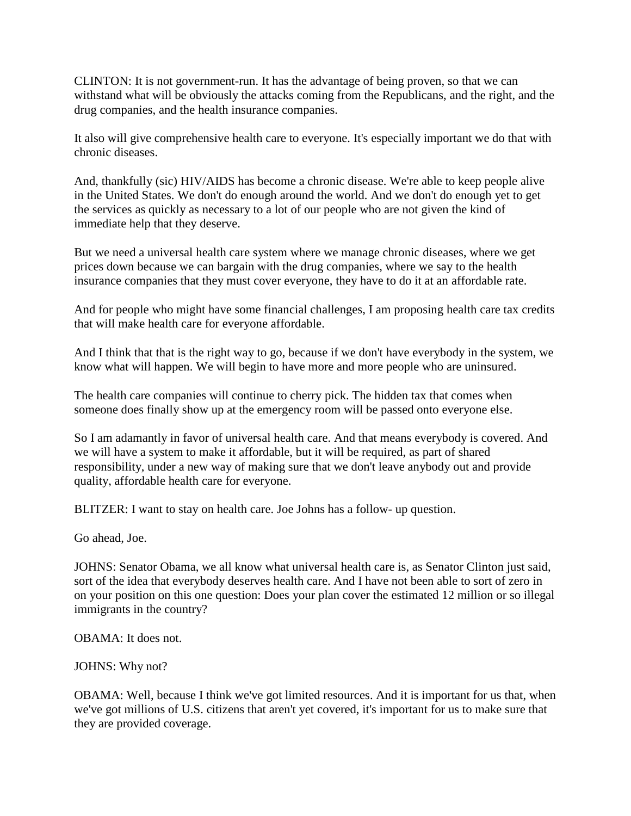CLINTON: It is not government-run. It has the advantage of being proven, so that we can withstand what will be obviously the attacks coming from the Republicans, and the right, and the drug companies, and the health insurance companies.

It also will give comprehensive health care to everyone. It's especially important we do that with chronic diseases.

And, thankfully (sic) HIV/AIDS has become a chronic disease. We're able to keep people alive in the United States. We don't do enough around the world. And we don't do enough yet to get the services as quickly as necessary to a lot of our people who are not given the kind of immediate help that they deserve.

But we need a universal health care system where we manage chronic diseases, where we get prices down because we can bargain with the drug companies, where we say to the health insurance companies that they must cover everyone, they have to do it at an affordable rate.

And for people who might have some financial challenges, I am proposing health care tax credits that will make health care for everyone affordable.

And I think that that is the right way to go, because if we don't have everybody in the system, we know what will happen. We will begin to have more and more people who are uninsured.

The health care companies will continue to cherry pick. The hidden tax that comes when someone does finally show up at the emergency room will be passed onto everyone else.

So I am adamantly in favor of universal health care. And that means everybody is covered. And we will have a system to make it affordable, but it will be required, as part of shared responsibility, under a new way of making sure that we don't leave anybody out and provide quality, affordable health care for everyone.

BLITZER: I want to stay on health care. Joe Johns has a follow- up question.

Go ahead, Joe.

JOHNS: Senator Obama, we all know what universal health care is, as Senator Clinton just said, sort of the idea that everybody deserves health care. And I have not been able to sort of zero in on your position on this one question: Does your plan cover the estimated 12 million or so illegal immigrants in the country?

OBAMA: It does not.

JOHNS: Why not?

OBAMA: Well, because I think we've got limited resources. And it is important for us that, when we've got millions of U.S. citizens that aren't yet covered, it's important for us to make sure that they are provided coverage.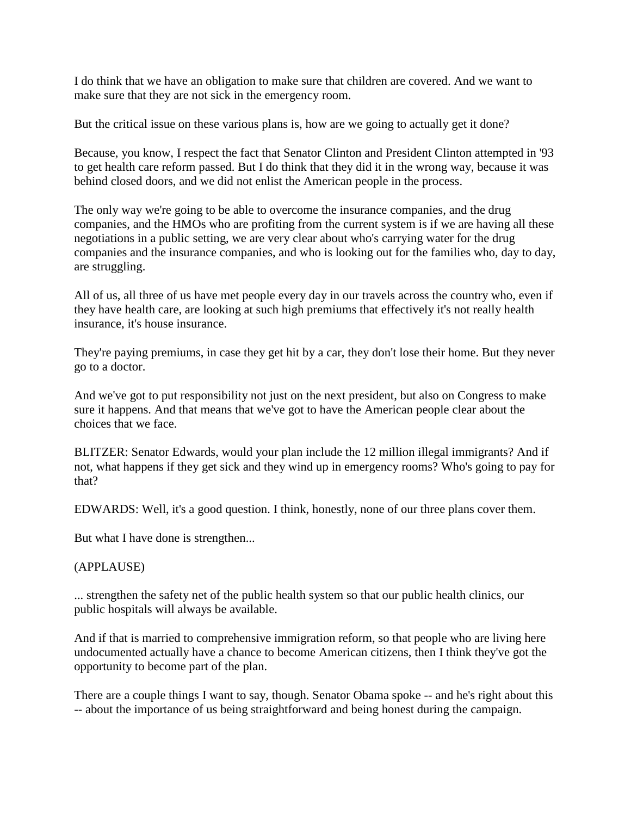I do think that we have an obligation to make sure that children are covered. And we want to make sure that they are not sick in the emergency room.

But the critical issue on these various plans is, how are we going to actually get it done?

Because, you know, I respect the fact that Senator Clinton and President Clinton attempted in '93 to get health care reform passed. But I do think that they did it in the wrong way, because it was behind closed doors, and we did not enlist the American people in the process.

The only way we're going to be able to overcome the insurance companies, and the drug companies, and the HMOs who are profiting from the current system is if we are having all these negotiations in a public setting, we are very clear about who's carrying water for the drug companies and the insurance companies, and who is looking out for the families who, day to day, are struggling.

All of us, all three of us have met people every day in our travels across the country who, even if they have health care, are looking at such high premiums that effectively it's not really health insurance, it's house insurance.

They're paying premiums, in case they get hit by a car, they don't lose their home. But they never go to a doctor.

And we've got to put responsibility not just on the next president, but also on Congress to make sure it happens. And that means that we've got to have the American people clear about the choices that we face.

BLITZER: Senator Edwards, would your plan include the 12 million illegal immigrants? And if not, what happens if they get sick and they wind up in emergency rooms? Who's going to pay for that?

EDWARDS: Well, it's a good question. I think, honestly, none of our three plans cover them.

But what I have done is strengthen...

#### (APPLAUSE)

... strengthen the safety net of the public health system so that our public health clinics, our public hospitals will always be available.

And if that is married to comprehensive immigration reform, so that people who are living here undocumented actually have a chance to become American citizens, then I think they've got the opportunity to become part of the plan.

There are a couple things I want to say, though. Senator Obama spoke -- and he's right about this -- about the importance of us being straightforward and being honest during the campaign.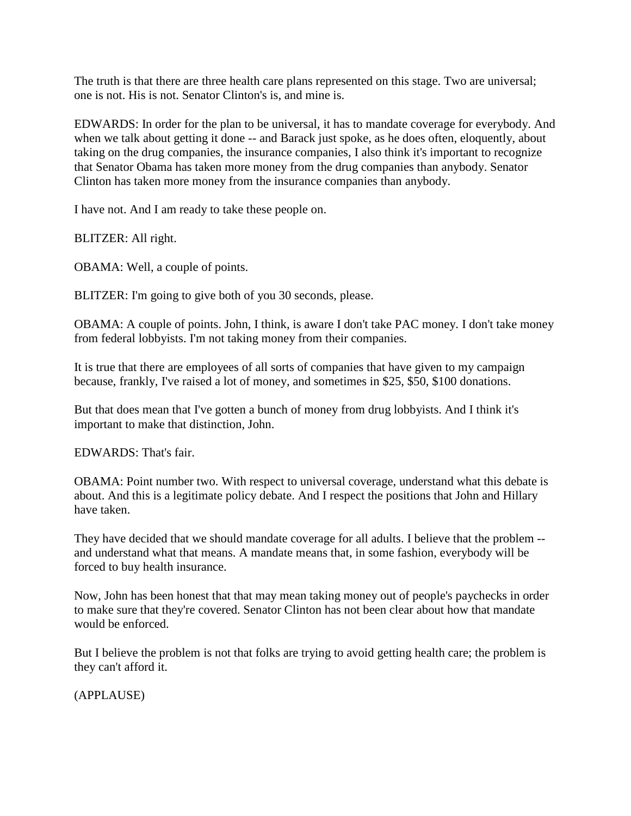The truth is that there are three health care plans represented on this stage. Two are universal; one is not. His is not. Senator Clinton's is, and mine is.

EDWARDS: In order for the plan to be universal, it has to mandate coverage for everybody. And when we talk about getting it done -- and Barack just spoke, as he does often, eloquently, about taking on the drug companies, the insurance companies, I also think it's important to recognize that Senator Obama has taken more money from the drug companies than anybody. Senator Clinton has taken more money from the insurance companies than anybody.

I have not. And I am ready to take these people on.

BLITZER: All right.

OBAMA: Well, a couple of points.

BLITZER: I'm going to give both of you 30 seconds, please.

OBAMA: A couple of points. John, I think, is aware I don't take PAC money. I don't take money from federal lobbyists. I'm not taking money from their companies.

It is true that there are employees of all sorts of companies that have given to my campaign because, frankly, I've raised a lot of money, and sometimes in \$25, \$50, \$100 donations.

But that does mean that I've gotten a bunch of money from drug lobbyists. And I think it's important to make that distinction, John.

EDWARDS: That's fair.

OBAMA: Point number two. With respect to universal coverage, understand what this debate is about. And this is a legitimate policy debate. And I respect the positions that John and Hillary have taken.

They have decided that we should mandate coverage for all adults. I believe that the problem - and understand what that means. A mandate means that, in some fashion, everybody will be forced to buy health insurance.

Now, John has been honest that that may mean taking money out of people's paychecks in order to make sure that they're covered. Senator Clinton has not been clear about how that mandate would be enforced.

But I believe the problem is not that folks are trying to avoid getting health care; the problem is they can't afford it.

(APPLAUSE)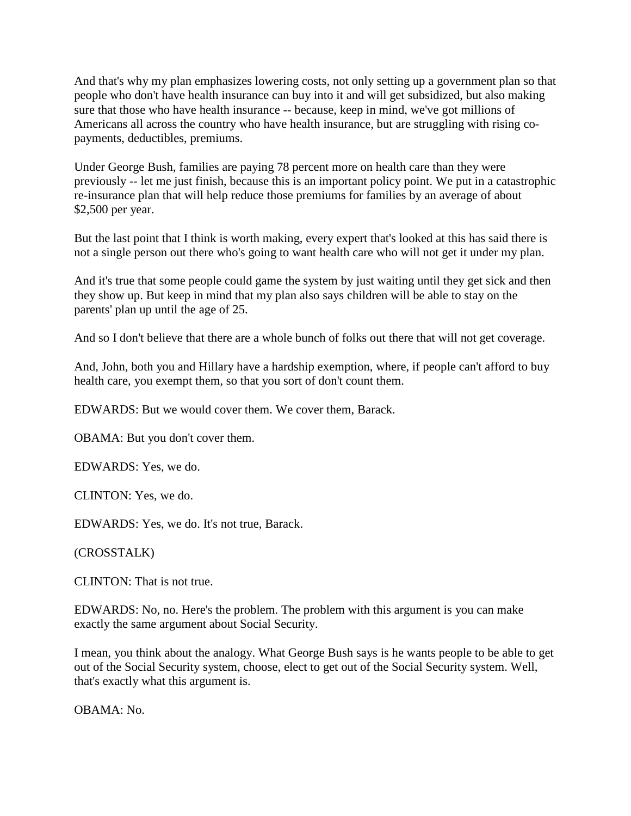And that's why my plan emphasizes lowering costs, not only setting up a government plan so that people who don't have health insurance can buy into it and will get subsidized, but also making sure that those who have health insurance -- because, keep in mind, we've got millions of Americans all across the country who have health insurance, but are struggling with rising copayments, deductibles, premiums.

Under George Bush, families are paying 78 percent more on health care than they were previously -- let me just finish, because this is an important policy point. We put in a catastrophic re-insurance plan that will help reduce those premiums for families by an average of about \$2,500 per year.

But the last point that I think is worth making, every expert that's looked at this has said there is not a single person out there who's going to want health care who will not get it under my plan.

And it's true that some people could game the system by just waiting until they get sick and then they show up. But keep in mind that my plan also says children will be able to stay on the parents' plan up until the age of 25.

And so I don't believe that there are a whole bunch of folks out there that will not get coverage.

And, John, both you and Hillary have a hardship exemption, where, if people can't afford to buy health care, you exempt them, so that you sort of don't count them.

EDWARDS: But we would cover them. We cover them, Barack.

OBAMA: But you don't cover them.

EDWARDS: Yes, we do.

CLINTON: Yes, we do.

EDWARDS: Yes, we do. It's not true, Barack.

(CROSSTALK)

CLINTON: That is not true.

EDWARDS: No, no. Here's the problem. The problem with this argument is you can make exactly the same argument about Social Security.

I mean, you think about the analogy. What George Bush says is he wants people to be able to get out of the Social Security system, choose, elect to get out of the Social Security system. Well, that's exactly what this argument is.

OBAMA: No.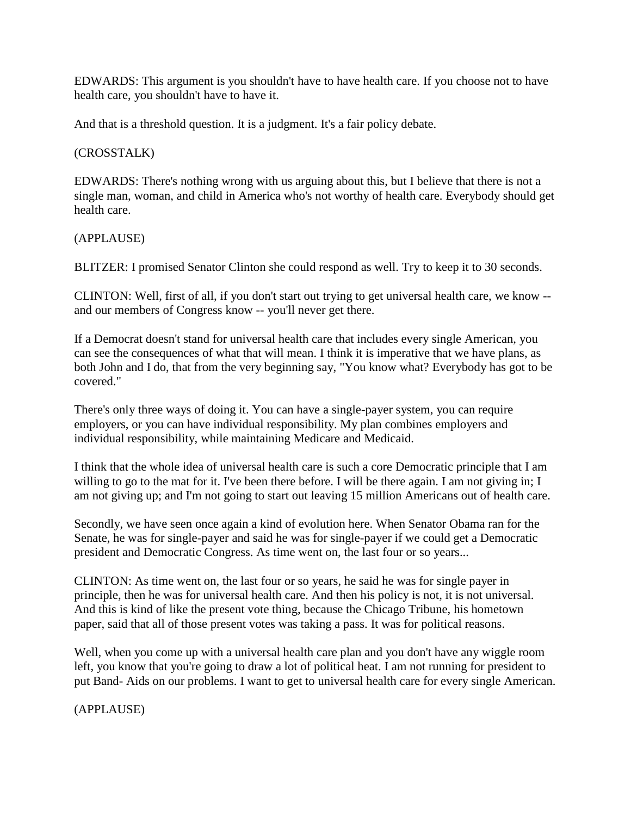EDWARDS: This argument is you shouldn't have to have health care. If you choose not to have health care, you shouldn't have to have it.

And that is a threshold question. It is a judgment. It's a fair policy debate.

## (CROSSTALK)

EDWARDS: There's nothing wrong with us arguing about this, but I believe that there is not a single man, woman, and child in America who's not worthy of health care. Everybody should get health care.

## (APPLAUSE)

BLITZER: I promised Senator Clinton she could respond as well. Try to keep it to 30 seconds.

CLINTON: Well, first of all, if you don't start out trying to get universal health care, we know - and our members of Congress know -- you'll never get there.

If a Democrat doesn't stand for universal health care that includes every single American, you can see the consequences of what that will mean. I think it is imperative that we have plans, as both John and I do, that from the very beginning say, "You know what? Everybody has got to be covered."

There's only three ways of doing it. You can have a single-payer system, you can require employers, or you can have individual responsibility. My plan combines employers and individual responsibility, while maintaining Medicare and Medicaid.

I think that the whole idea of universal health care is such a core Democratic principle that I am willing to go to the mat for it. I've been there before. I will be there again. I am not giving in; I am not giving up; and I'm not going to start out leaving 15 million Americans out of health care.

Secondly, we have seen once again a kind of evolution here. When Senator Obama ran for the Senate, he was for single-payer and said he was for single-payer if we could get a Democratic president and Democratic Congress. As time went on, the last four or so years...

CLINTON: As time went on, the last four or so years, he said he was for single payer in principle, then he was for universal health care. And then his policy is not, it is not universal. And this is kind of like the present vote thing, because the Chicago Tribune, his hometown paper, said that all of those present votes was taking a pass. It was for political reasons.

Well, when you come up with a universal health care plan and you don't have any wiggle room left, you know that you're going to draw a lot of political heat. I am not running for president to put Band- Aids on our problems. I want to get to universal health care for every single American.

(APPLAUSE)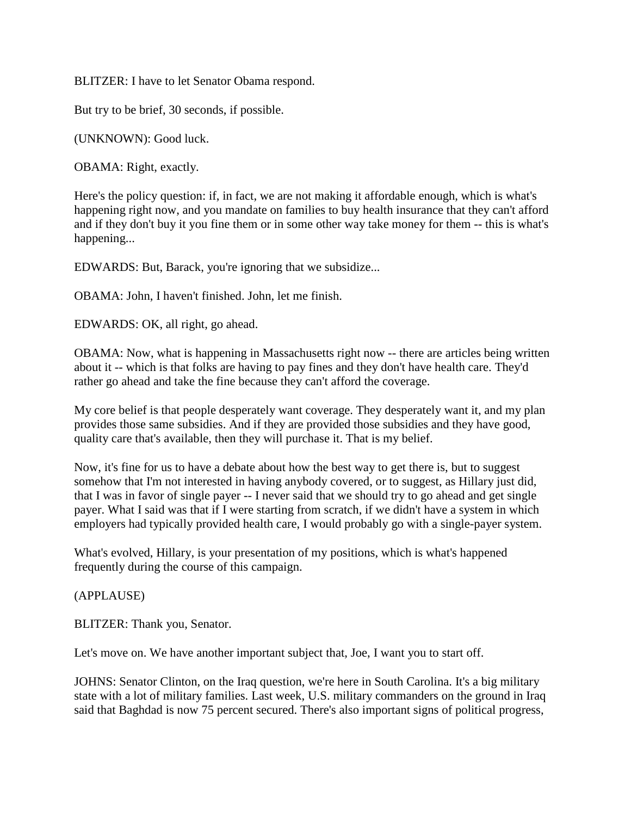BLITZER: I have to let Senator Obama respond.

But try to be brief, 30 seconds, if possible.

(UNKNOWN): Good luck.

OBAMA: Right, exactly.

Here's the policy question: if, in fact, we are not making it affordable enough, which is what's happening right now, and you mandate on families to buy health insurance that they can't afford and if they don't buy it you fine them or in some other way take money for them -- this is what's happening...

EDWARDS: But, Barack, you're ignoring that we subsidize...

OBAMA: John, I haven't finished. John, let me finish.

EDWARDS: OK, all right, go ahead.

OBAMA: Now, what is happening in Massachusetts right now -- there are articles being written about it -- which is that folks are having to pay fines and they don't have health care. They'd rather go ahead and take the fine because they can't afford the coverage.

My core belief is that people desperately want coverage. They desperately want it, and my plan provides those same subsidies. And if they are provided those subsidies and they have good, quality care that's available, then they will purchase it. That is my belief.

Now, it's fine for us to have a debate about how the best way to get there is, but to suggest somehow that I'm not interested in having anybody covered, or to suggest, as Hillary just did, that I was in favor of single payer -- I never said that we should try to go ahead and get single payer. What I said was that if I were starting from scratch, if we didn't have a system in which employers had typically provided health care, I would probably go with a single-payer system.

What's evolved, Hillary, is your presentation of my positions, which is what's happened frequently during the course of this campaign.

#### (APPLAUSE)

BLITZER: Thank you, Senator.

Let's move on. We have another important subject that, Joe, I want you to start off.

JOHNS: Senator Clinton, on the Iraq question, we're here in South Carolina. It's a big military state with a lot of military families. Last week, U.S. military commanders on the ground in Iraq said that Baghdad is now 75 percent secured. There's also important signs of political progress,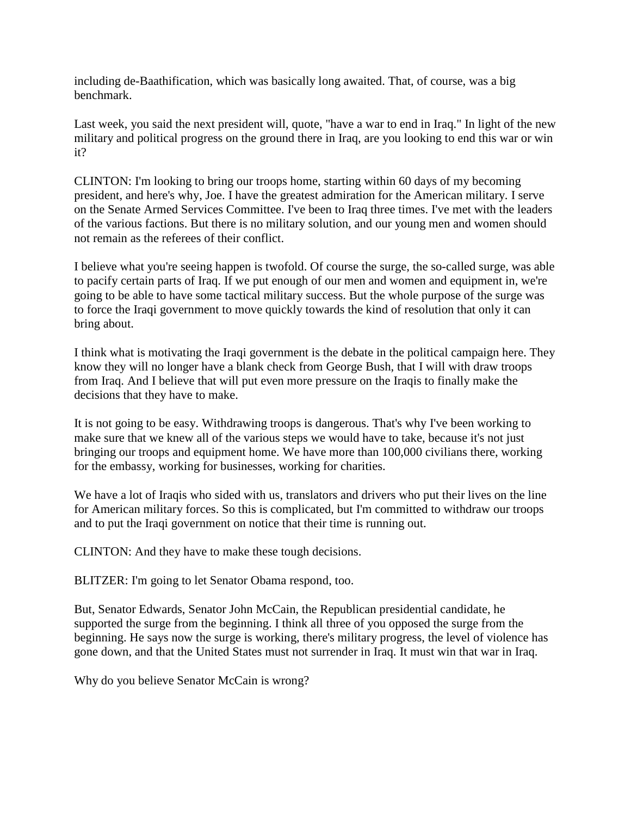including de-Baathification, which was basically long awaited. That, of course, was a big benchmark.

Last week, you said the next president will, quote, "have a war to end in Iraq." In light of the new military and political progress on the ground there in Iraq, are you looking to end this war or win it?

CLINTON: I'm looking to bring our troops home, starting within 60 days of my becoming president, and here's why, Joe. I have the greatest admiration for the American military. I serve on the Senate Armed Services Committee. I've been to Iraq three times. I've met with the leaders of the various factions. But there is no military solution, and our young men and women should not remain as the referees of their conflict.

I believe what you're seeing happen is twofold. Of course the surge, the so-called surge, was able to pacify certain parts of Iraq. If we put enough of our men and women and equipment in, we're going to be able to have some tactical military success. But the whole purpose of the surge was to force the Iraqi government to move quickly towards the kind of resolution that only it can bring about.

I think what is motivating the Iraqi government is the debate in the political campaign here. They know they will no longer have a blank check from George Bush, that I will with draw troops from Iraq. And I believe that will put even more pressure on the Iraqis to finally make the decisions that they have to make.

It is not going to be easy. Withdrawing troops is dangerous. That's why I've been working to make sure that we knew all of the various steps we would have to take, because it's not just bringing our troops and equipment home. We have more than 100,000 civilians there, working for the embassy, working for businesses, working for charities.

We have a lot of Iraqis who sided with us, translators and drivers who put their lives on the line for American military forces. So this is complicated, but I'm committed to withdraw our troops and to put the Iraqi government on notice that their time is running out.

CLINTON: And they have to make these tough decisions.

BLITZER: I'm going to let Senator Obama respond, too.

But, Senator Edwards, Senator John McCain, the Republican presidential candidate, he supported the surge from the beginning. I think all three of you opposed the surge from the beginning. He says now the surge is working, there's military progress, the level of violence has gone down, and that the United States must not surrender in Iraq. It must win that war in Iraq.

Why do you believe Senator McCain is wrong?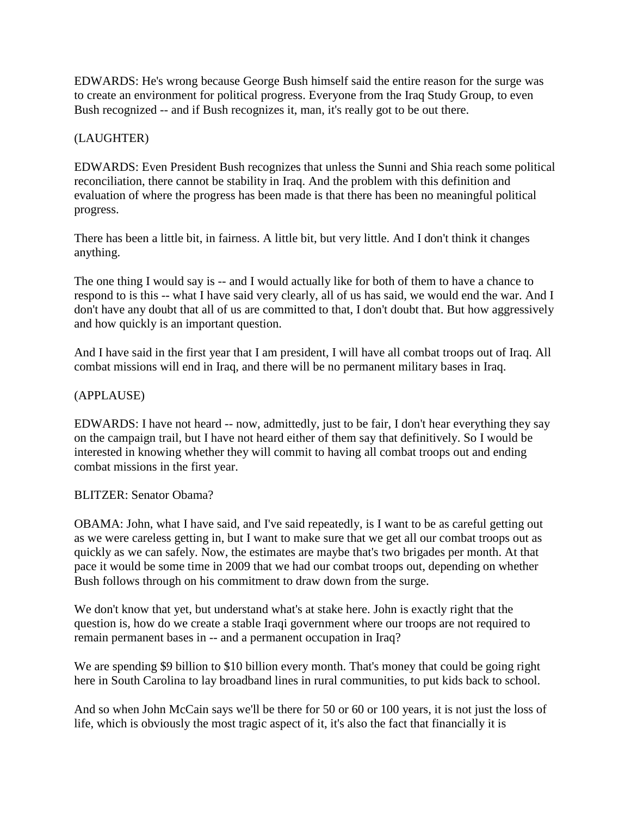EDWARDS: He's wrong because George Bush himself said the entire reason for the surge was to create an environment for political progress. Everyone from the Iraq Study Group, to even Bush recognized -- and if Bush recognizes it, man, it's really got to be out there.

## (LAUGHTER)

EDWARDS: Even President Bush recognizes that unless the Sunni and Shia reach some political reconciliation, there cannot be stability in Iraq. And the problem with this definition and evaluation of where the progress has been made is that there has been no meaningful political progress.

There has been a little bit, in fairness. A little bit, but very little. And I don't think it changes anything.

The one thing I would say is -- and I would actually like for both of them to have a chance to respond to is this -- what I have said very clearly, all of us has said, we would end the war. And I don't have any doubt that all of us are committed to that, I don't doubt that. But how aggressively and how quickly is an important question.

And I have said in the first year that I am president, I will have all combat troops out of Iraq. All combat missions will end in Iraq, and there will be no permanent military bases in Iraq.

## (APPLAUSE)

EDWARDS: I have not heard -- now, admittedly, just to be fair, I don't hear everything they say on the campaign trail, but I have not heard either of them say that definitively. So I would be interested in knowing whether they will commit to having all combat troops out and ending combat missions in the first year.

#### BLITZER: Senator Obama?

OBAMA: John, what I have said, and I've said repeatedly, is I want to be as careful getting out as we were careless getting in, but I want to make sure that we get all our combat troops out as quickly as we can safely. Now, the estimates are maybe that's two brigades per month. At that pace it would be some time in 2009 that we had our combat troops out, depending on whether Bush follows through on his commitment to draw down from the surge.

We don't know that yet, but understand what's at stake here. John is exactly right that the question is, how do we create a stable Iraqi government where our troops are not required to remain permanent bases in -- and a permanent occupation in Iraq?

We are spending \$9 billion to \$10 billion every month. That's money that could be going right here in South Carolina to lay broadband lines in rural communities, to put kids back to school.

And so when John McCain says we'll be there for 50 or 60 or 100 years, it is not just the loss of life, which is obviously the most tragic aspect of it, it's also the fact that financially it is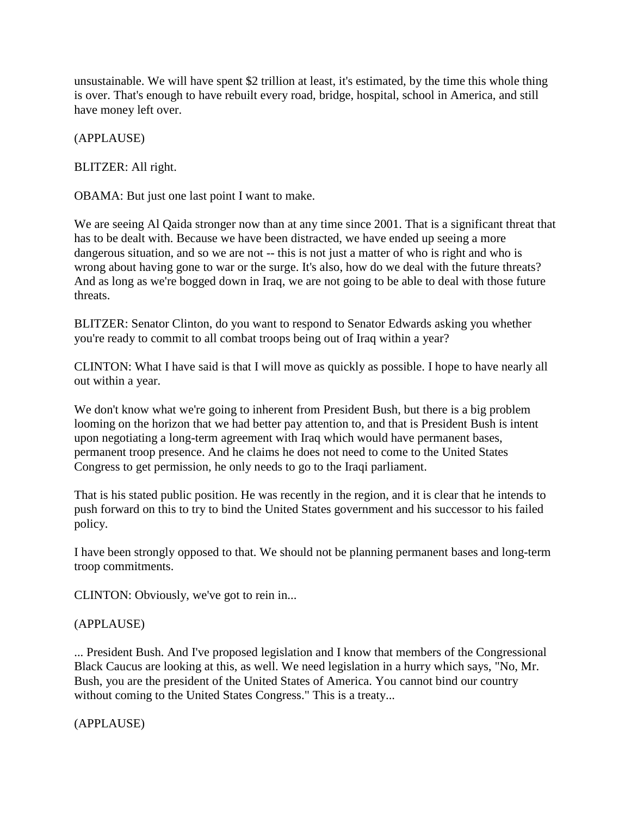unsustainable. We will have spent \$2 trillion at least, it's estimated, by the time this whole thing is over. That's enough to have rebuilt every road, bridge, hospital, school in America, and still have money left over.

(APPLAUSE)

BLITZER: All right.

OBAMA: But just one last point I want to make.

We are seeing Al Qaida stronger now than at any time since 2001. That is a significant threat that has to be dealt with. Because we have been distracted, we have ended up seeing a more dangerous situation, and so we are not -- this is not just a matter of who is right and who is wrong about having gone to war or the surge. It's also, how do we deal with the future threats? And as long as we're bogged down in Iraq, we are not going to be able to deal with those future threats.

BLITZER: Senator Clinton, do you want to respond to Senator Edwards asking you whether you're ready to commit to all combat troops being out of Iraq within a year?

CLINTON: What I have said is that I will move as quickly as possible. I hope to have nearly all out within a year.

We don't know what we're going to inherent from President Bush, but there is a big problem looming on the horizon that we had better pay attention to, and that is President Bush is intent upon negotiating a long-term agreement with Iraq which would have permanent bases, permanent troop presence. And he claims he does not need to come to the United States Congress to get permission, he only needs to go to the Iraqi parliament.

That is his stated public position. He was recently in the region, and it is clear that he intends to push forward on this to try to bind the United States government and his successor to his failed policy.

I have been strongly opposed to that. We should not be planning permanent bases and long-term troop commitments.

CLINTON: Obviously, we've got to rein in...

#### (APPLAUSE)

... President Bush. And I've proposed legislation and I know that members of the Congressional Black Caucus are looking at this, as well. We need legislation in a hurry which says, "No, Mr. Bush, you are the president of the United States of America. You cannot bind our country without coming to the United States Congress." This is a treaty...

(APPLAUSE)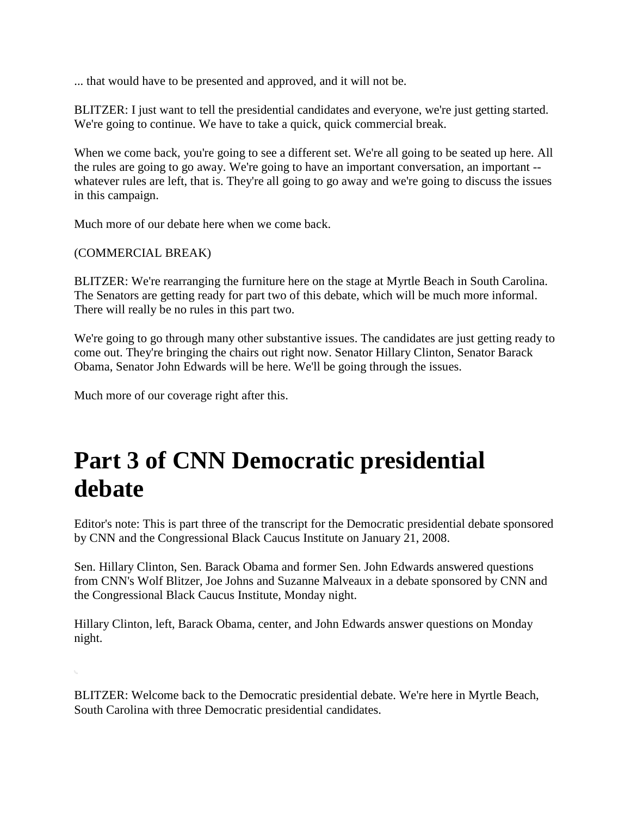... that would have to be presented and approved, and it will not be.

BLITZER: I just want to tell the presidential candidates and everyone, we're just getting started. We're going to continue. We have to take a quick, quick commercial break.

When we come back, you're going to see a different set. We're all going to be seated up here. All the rules are going to go away. We're going to have an important conversation, an important - whatever rules are left, that is. They're all going to go away and we're going to discuss the issues in this campaign.

Much more of our debate here when we come back.

## (COMMERCIAL BREAK)

BLITZER: We're rearranging the furniture here on the stage at Myrtle Beach in South Carolina. The Senators are getting ready for part two of this debate, which will be much more informal. There will really be no rules in this part two.

We're going to go through many other substantive issues. The candidates are just getting ready to come out. They're bringing the chairs out right now. Senator Hillary Clinton, Senator Barack Obama, Senator John Edwards will be here. We'll be going through the issues.

Much more of our coverage right after this.

## **Part 3 of CNN Democratic presidential debate**

Editor's note: This is part three of the transcript for the Democratic presidential debate sponsored by CNN and the Congressional Black Caucus Institute on January 21, 2008.

Sen. Hillary Clinton, Sen. Barack Obama and former Sen. John Edwards answered questions from CNN's Wolf Blitzer, Joe Johns and Suzanne Malveaux in a debate sponsored by CNN and the Congressional Black Caucus Institute, Monday night.

Hillary Clinton, left, Barack Obama, center, and John Edwards answer questions on Monday night.

BLITZER: Welcome back to the Democratic presidential debate. We're here in Myrtle Beach, South Carolina with three Democratic presidential candidates.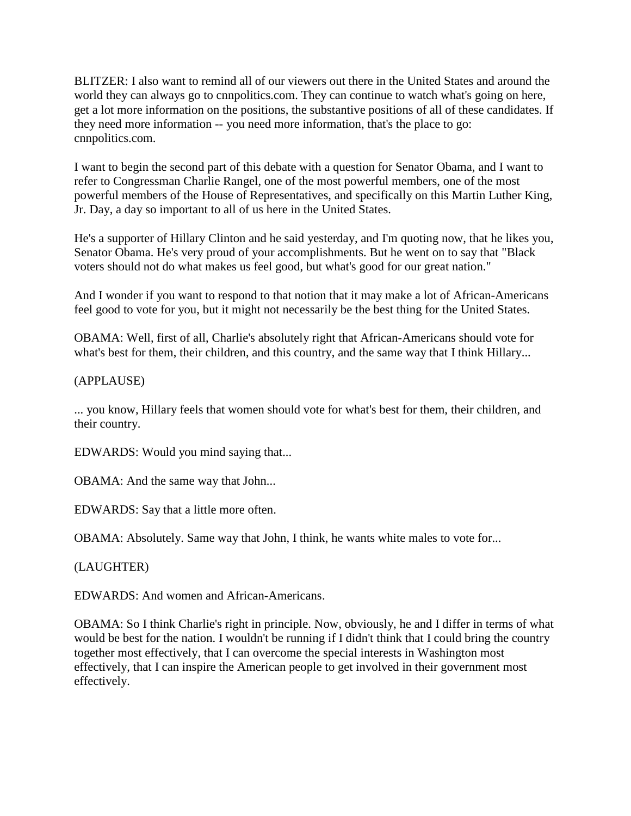BLITZER: I also want to remind all of our viewers out there in the United States and around the world they can always go to cnnpolitics.com. They can continue to watch what's going on here, get a lot more information on the positions, the substantive positions of all of these candidates. If they need more information -- you need more information, that's the place to go: cnnpolitics.com.

I want to begin the second part of this debate with a question for Senator Obama, and I want to refer to Congressman Charlie Rangel, one of the most powerful members, one of the most powerful members of the House of Representatives, and specifically on this Martin Luther King, Jr. Day, a day so important to all of us here in the United States.

He's a supporter of Hillary Clinton and he said yesterday, and I'm quoting now, that he likes you, Senator Obama. He's very proud of your accomplishments. But he went on to say that "Black voters should not do what makes us feel good, but what's good for our great nation."

And I wonder if you want to respond to that notion that it may make a lot of African-Americans feel good to vote for you, but it might not necessarily be the best thing for the United States.

OBAMA: Well, first of all, Charlie's absolutely right that African-Americans should vote for what's best for them, their children, and this country, and the same way that I think Hillary...

(APPLAUSE)

... you know, Hillary feels that women should vote for what's best for them, their children, and their country.

EDWARDS: Would you mind saying that...

OBAMA: And the same way that John...

EDWARDS: Say that a little more often.

OBAMA: Absolutely. Same way that John, I think, he wants white males to vote for...

(LAUGHTER)

EDWARDS: And women and African-Americans.

OBAMA: So I think Charlie's right in principle. Now, obviously, he and I differ in terms of what would be best for the nation. I wouldn't be running if I didn't think that I could bring the country together most effectively, that I can overcome the special interests in Washington most effectively, that I can inspire the American people to get involved in their government most effectively.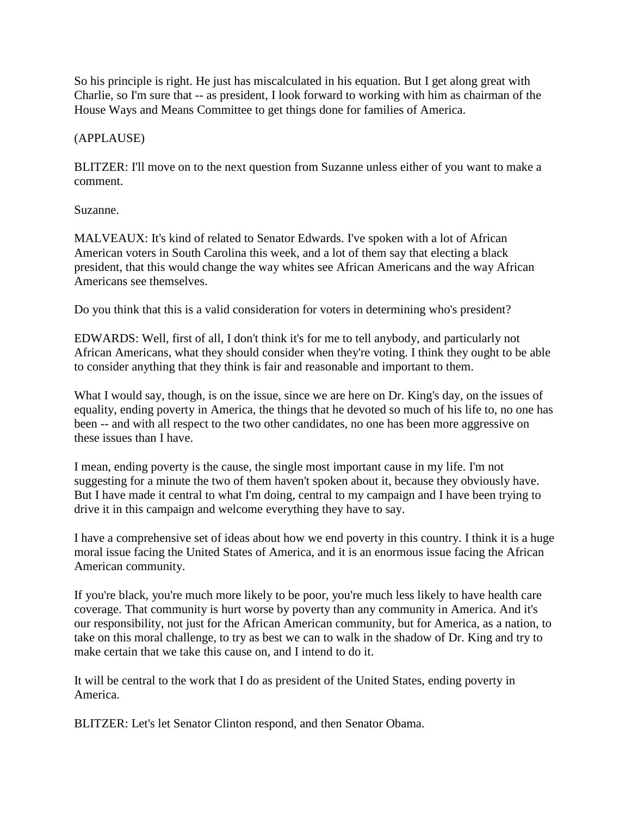So his principle is right. He just has miscalculated in his equation. But I get along great with Charlie, so I'm sure that -- as president, I look forward to working with him as chairman of the House Ways and Means Committee to get things done for families of America.

## (APPLAUSE)

BLITZER: I'll move on to the next question from Suzanne unless either of you want to make a comment.

## Suzanne.

MALVEAUX: It's kind of related to Senator Edwards. I've spoken with a lot of African American voters in South Carolina this week, and a lot of them say that electing a black president, that this would change the way whites see African Americans and the way African Americans see themselves.

Do you think that this is a valid consideration for voters in determining who's president?

EDWARDS: Well, first of all, I don't think it's for me to tell anybody, and particularly not African Americans, what they should consider when they're voting. I think they ought to be able to consider anything that they think is fair and reasonable and important to them.

What I would say, though, is on the issue, since we are here on Dr. King's day, on the issues of equality, ending poverty in America, the things that he devoted so much of his life to, no one has been -- and with all respect to the two other candidates, no one has been more aggressive on these issues than I have.

I mean, ending poverty is the cause, the single most important cause in my life. I'm not suggesting for a minute the two of them haven't spoken about it, because they obviously have. But I have made it central to what I'm doing, central to my campaign and I have been trying to drive it in this campaign and welcome everything they have to say.

I have a comprehensive set of ideas about how we end poverty in this country. I think it is a huge moral issue facing the United States of America, and it is an enormous issue facing the African American community.

If you're black, you're much more likely to be poor, you're much less likely to have health care coverage. That community is hurt worse by poverty than any community in America. And it's our responsibility, not just for the African American community, but for America, as a nation, to take on this moral challenge, to try as best we can to walk in the shadow of Dr. King and try to make certain that we take this cause on, and I intend to do it.

It will be central to the work that I do as president of the United States, ending poverty in America.

BLITZER: Let's let Senator Clinton respond, and then Senator Obama.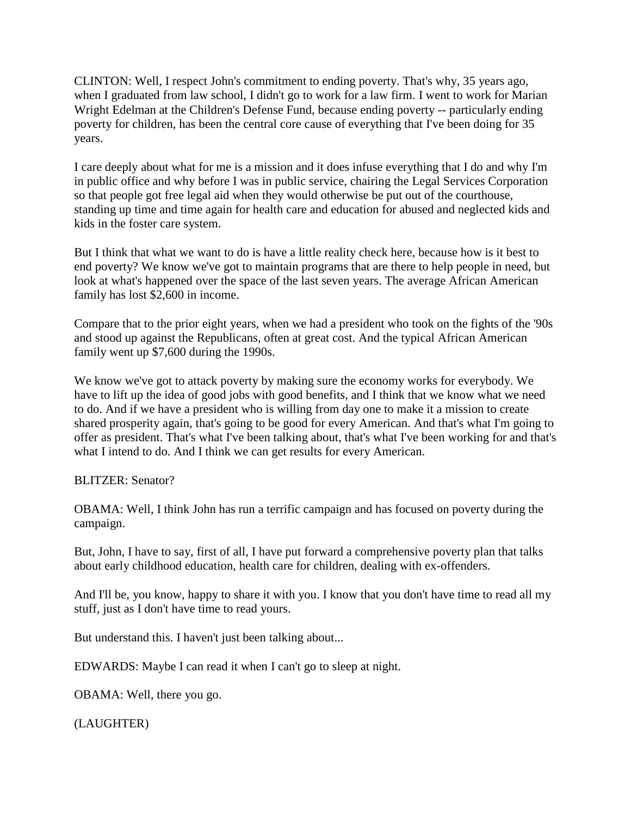CLINTON: Well, I respect John's commitment to ending poverty. That's why, 35 years ago, when I graduated from law school, I didn't go to work for a law firm. I went to work for Marian Wright Edelman at the Children's Defense Fund, because ending poverty -- particularly ending poverty for children, has been the central core cause of everything that I've been doing for 35 years.

I care deeply about what for me is a mission and it does infuse everything that I do and why I'm in public office and why before I was in public service, chairing the Legal Services Corporation so that people got free legal aid when they would otherwise be put out of the courthouse, standing up time and time again for health care and education for abused and neglected kids and kids in the foster care system.

But I think that what we want to do is have a little reality check here, because how is it best to end poverty? We know we've got to maintain programs that are there to help people in need, but look at what's happened over the space of the last seven years. The average African American family has lost \$2,600 in income.

Compare that to the prior eight years, when we had a president who took on the fights of the '90s and stood up against the Republicans, often at great cost. And the typical African American family went up \$7,600 during the 1990s.

We know we've got to attack poverty by making sure the economy works for everybody. We have to lift up the idea of good jobs with good benefits, and I think that we know what we need to do. And if we have a president who is willing from day one to make it a mission to create shared prosperity again, that's going to be good for every American. And that's what I'm going to offer as president. That's what I've been talking about, that's what I've been working for and that's what I intend to do. And I think we can get results for every American.

BLITZER: Senator?

OBAMA: Well, I think John has run a terrific campaign and has focused on poverty during the campaign.

But, John, I have to say, first of all, I have put forward a comprehensive poverty plan that talks about early childhood education, health care for children, dealing with ex-offenders.

And I'll be, you know, happy to share it with you. I know that you don't have time to read all my stuff, just as I don't have time to read yours.

But understand this. I haven't just been talking about...

EDWARDS: Maybe I can read it when I can't go to sleep at night.

OBAMA: Well, there you go.

(LAUGHTER)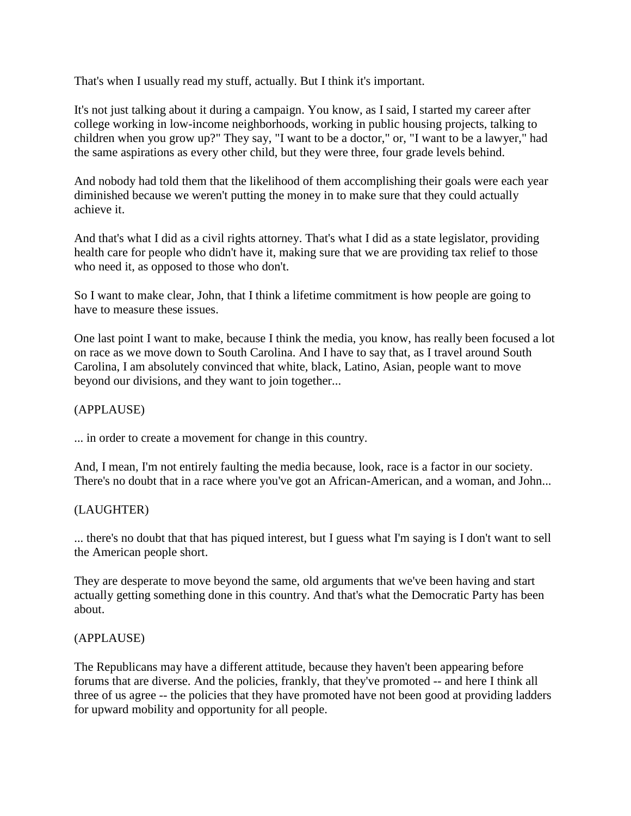That's when I usually read my stuff, actually. But I think it's important.

It's not just talking about it during a campaign. You know, as I said, I started my career after college working in low-income neighborhoods, working in public housing projects, talking to children when you grow up?" They say, "I want to be a doctor," or, "I want to be a lawyer," had the same aspirations as every other child, but they were three, four grade levels behind.

And nobody had told them that the likelihood of them accomplishing their goals were each year diminished because we weren't putting the money in to make sure that they could actually achieve it.

And that's what I did as a civil rights attorney. That's what I did as a state legislator, providing health care for people who didn't have it, making sure that we are providing tax relief to those who need it, as opposed to those who don't.

So I want to make clear, John, that I think a lifetime commitment is how people are going to have to measure these issues.

One last point I want to make, because I think the media, you know, has really been focused a lot on race as we move down to South Carolina. And I have to say that, as I travel around South Carolina, I am absolutely convinced that white, black, Latino, Asian, people want to move beyond our divisions, and they want to join together...

## (APPLAUSE)

... in order to create a movement for change in this country.

And, I mean, I'm not entirely faulting the media because, look, race is a factor in our society. There's no doubt that in a race where you've got an African-American, and a woman, and John...

## (LAUGHTER)

... there's no doubt that that has piqued interest, but I guess what I'm saying is I don't want to sell the American people short.

They are desperate to move beyond the same, old arguments that we've been having and start actually getting something done in this country. And that's what the Democratic Party has been about.

#### (APPLAUSE)

The Republicans may have a different attitude, because they haven't been appearing before forums that are diverse. And the policies, frankly, that they've promoted -- and here I think all three of us agree -- the policies that they have promoted have not been good at providing ladders for upward mobility and opportunity for all people.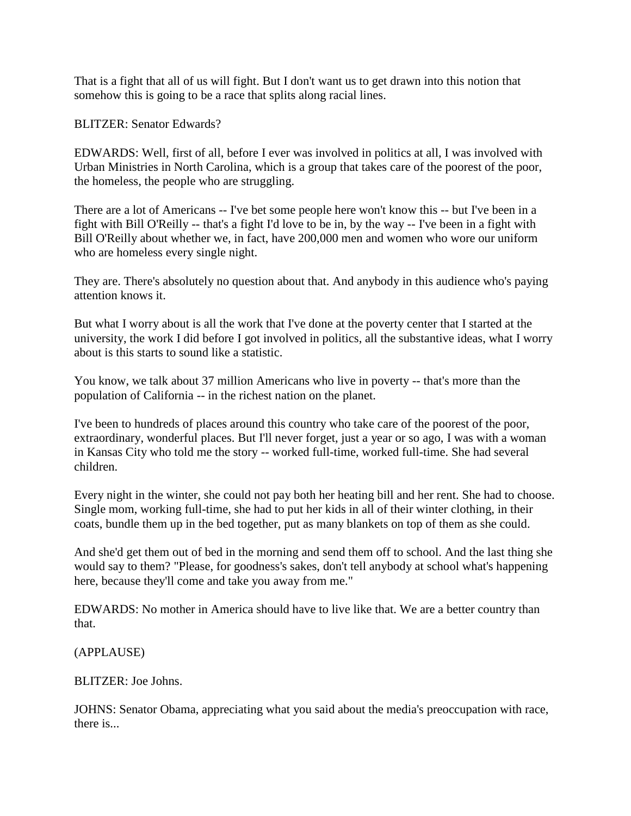That is a fight that all of us will fight. But I don't want us to get drawn into this notion that somehow this is going to be a race that splits along racial lines.

BLITZER: Senator Edwards?

EDWARDS: Well, first of all, before I ever was involved in politics at all, I was involved with Urban Ministries in North Carolina, which is a group that takes care of the poorest of the poor, the homeless, the people who are struggling.

There are a lot of Americans -- I've bet some people here won't know this -- but I've been in a fight with Bill O'Reilly -- that's a fight I'd love to be in, by the way -- I've been in a fight with Bill O'Reilly about whether we, in fact, have 200,000 men and women who wore our uniform who are homeless every single night.

They are. There's absolutely no question about that. And anybody in this audience who's paying attention knows it.

But what I worry about is all the work that I've done at the poverty center that I started at the university, the work I did before I got involved in politics, all the substantive ideas, what I worry about is this starts to sound like a statistic.

You know, we talk about 37 million Americans who live in poverty -- that's more than the population of California -- in the richest nation on the planet.

I've been to hundreds of places around this country who take care of the poorest of the poor, extraordinary, wonderful places. But I'll never forget, just a year or so ago, I was with a woman in Kansas City who told me the story -- worked full-time, worked full-time. She had several children.

Every night in the winter, she could not pay both her heating bill and her rent. She had to choose. Single mom, working full-time, she had to put her kids in all of their winter clothing, in their coats, bundle them up in the bed together, put as many blankets on top of them as she could.

And she'd get them out of bed in the morning and send them off to school. And the last thing she would say to them? "Please, for goodness's sakes, don't tell anybody at school what's happening here, because they'll come and take you away from me."

EDWARDS: No mother in America should have to live like that. We are a better country than that.

(APPLAUSE)

BLITZER: Joe Johns.

JOHNS: Senator Obama, appreciating what you said about the media's preoccupation with race, there is...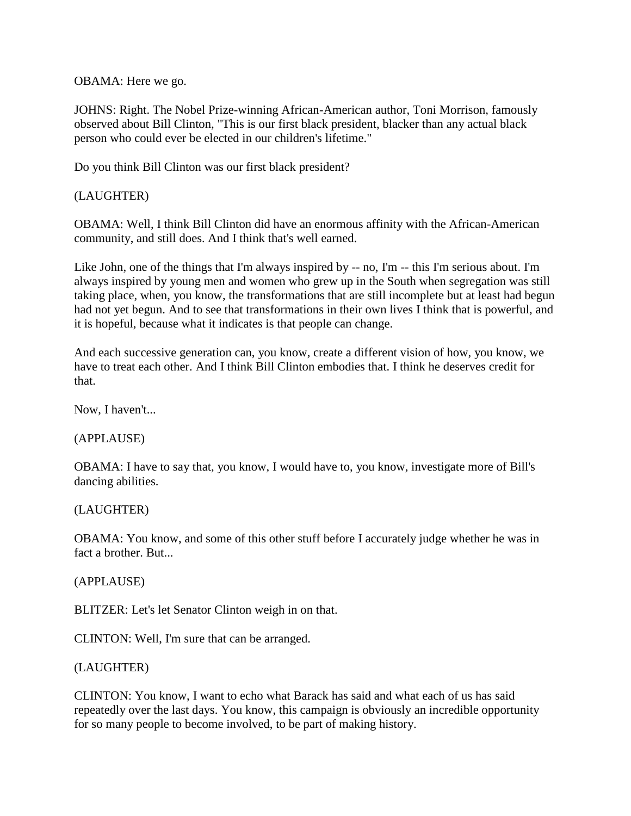OBAMA: Here we go.

JOHNS: Right. The Nobel Prize-winning African-American author, Toni Morrison, famously observed about Bill Clinton, "This is our first black president, blacker than any actual black person who could ever be elected in our children's lifetime."

Do you think Bill Clinton was our first black president?

(LAUGHTER)

OBAMA: Well, I think Bill Clinton did have an enormous affinity with the African-American community, and still does. And I think that's well earned.

Like John, one of the things that I'm always inspired by -- no, I'm -- this I'm serious about. I'm always inspired by young men and women who grew up in the South when segregation was still taking place, when, you know, the transformations that are still incomplete but at least had begun had not yet begun. And to see that transformations in their own lives I think that is powerful, and it is hopeful, because what it indicates is that people can change.

And each successive generation can, you know, create a different vision of how, you know, we have to treat each other. And I think Bill Clinton embodies that. I think he deserves credit for that.

Now, I haven't...

(APPLAUSE)

OBAMA: I have to say that, you know, I would have to, you know, investigate more of Bill's dancing abilities.

(LAUGHTER)

OBAMA: You know, and some of this other stuff before I accurately judge whether he was in fact a brother. But...

(APPLAUSE)

BLITZER: Let's let Senator Clinton weigh in on that.

CLINTON: Well, I'm sure that can be arranged.

#### (LAUGHTER)

CLINTON: You know, I want to echo what Barack has said and what each of us has said repeatedly over the last days. You know, this campaign is obviously an incredible opportunity for so many people to become involved, to be part of making history.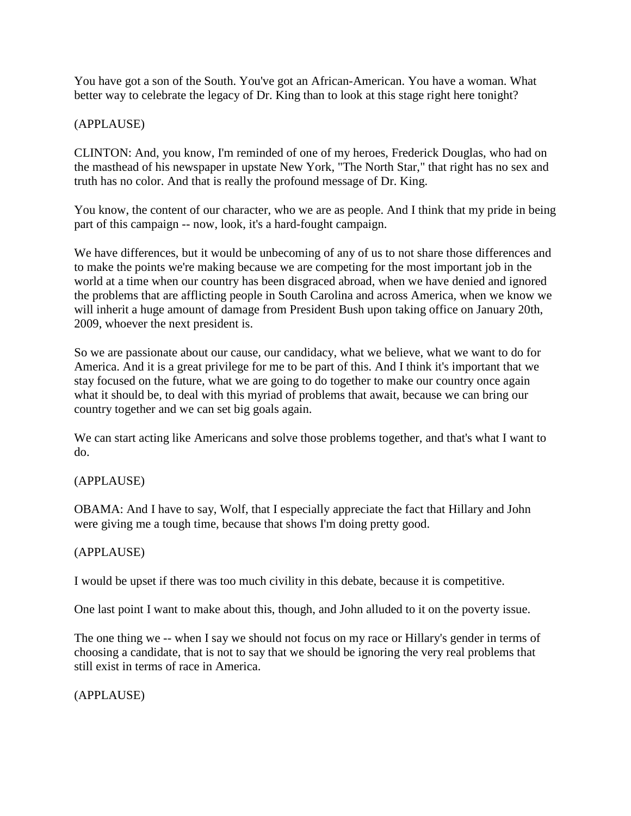You have got a son of the South. You've got an African-American. You have a woman. What better way to celebrate the legacy of Dr. King than to look at this stage right here tonight?

## (APPLAUSE)

CLINTON: And, you know, I'm reminded of one of my heroes, Frederick Douglas, who had on the masthead of his newspaper in upstate New York, "The North Star," that right has no sex and truth has no color. And that is really the profound message of Dr. King.

You know, the content of our character, who we are as people. And I think that my pride in being part of this campaign -- now, look, it's a hard-fought campaign.

We have differences, but it would be unbecoming of any of us to not share those differences and to make the points we're making because we are competing for the most important job in the world at a time when our country has been disgraced abroad, when we have denied and ignored the problems that are afflicting people in South Carolina and across America, when we know we will inherit a huge amount of damage from President Bush upon taking office on January 20th, 2009, whoever the next president is.

So we are passionate about our cause, our candidacy, what we believe, what we want to do for America. And it is a great privilege for me to be part of this. And I think it's important that we stay focused on the future, what we are going to do together to make our country once again what it should be, to deal with this myriad of problems that await, because we can bring our country together and we can set big goals again.

We can start acting like Americans and solve those problems together, and that's what I want to do.

#### (APPLAUSE)

OBAMA: And I have to say, Wolf, that I especially appreciate the fact that Hillary and John were giving me a tough time, because that shows I'm doing pretty good.

#### (APPLAUSE)

I would be upset if there was too much civility in this debate, because it is competitive.

One last point I want to make about this, though, and John alluded to it on the poverty issue.

The one thing we -- when I say we should not focus on my race or Hillary's gender in terms of choosing a candidate, that is not to say that we should be ignoring the very real problems that still exist in terms of race in America.

(APPLAUSE)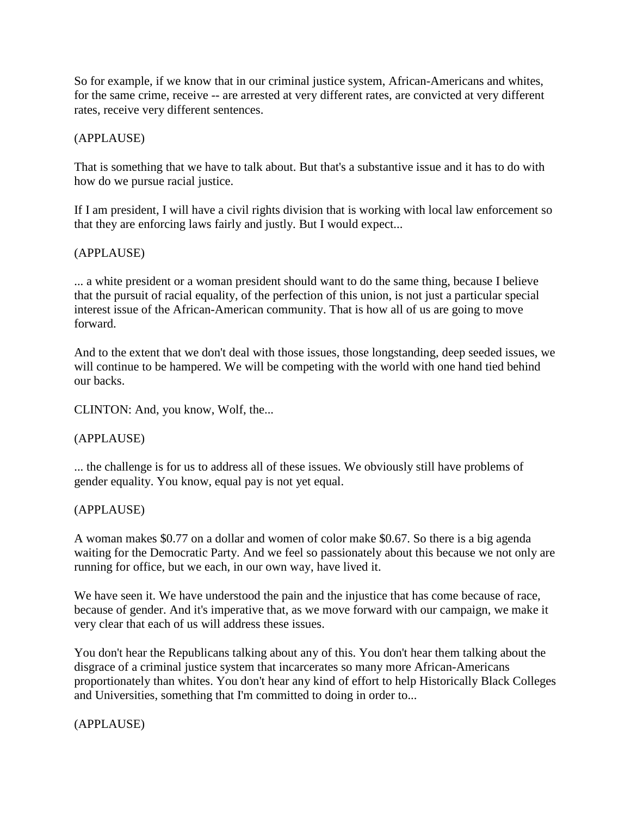So for example, if we know that in our criminal justice system, African-Americans and whites, for the same crime, receive -- are arrested at very different rates, are convicted at very different rates, receive very different sentences.

## (APPLAUSE)

That is something that we have to talk about. But that's a substantive issue and it has to do with how do we pursue racial justice.

If I am president, I will have a civil rights division that is working with local law enforcement so that they are enforcing laws fairly and justly. But I would expect...

#### (APPLAUSE)

... a white president or a woman president should want to do the same thing, because I believe that the pursuit of racial equality, of the perfection of this union, is not just a particular special interest issue of the African-American community. That is how all of us are going to move forward.

And to the extent that we don't deal with those issues, those longstanding, deep seeded issues, we will continue to be hampered. We will be competing with the world with one hand tied behind our backs.

CLINTON: And, you know, Wolf, the...

#### (APPLAUSE)

... the challenge is for us to address all of these issues. We obviously still have problems of gender equality. You know, equal pay is not yet equal.

#### (APPLAUSE)

A woman makes \$0.77 on a dollar and women of color make \$0.67. So there is a big agenda waiting for the Democratic Party. And we feel so passionately about this because we not only are running for office, but we each, in our own way, have lived it.

We have seen it. We have understood the pain and the injustice that has come because of race, because of gender. And it's imperative that, as we move forward with our campaign, we make it very clear that each of us will address these issues.

You don't hear the Republicans talking about any of this. You don't hear them talking about the disgrace of a criminal justice system that incarcerates so many more African-Americans proportionately than whites. You don't hear any kind of effort to help Historically Black Colleges and Universities, something that I'm committed to doing in order to...

(APPLAUSE)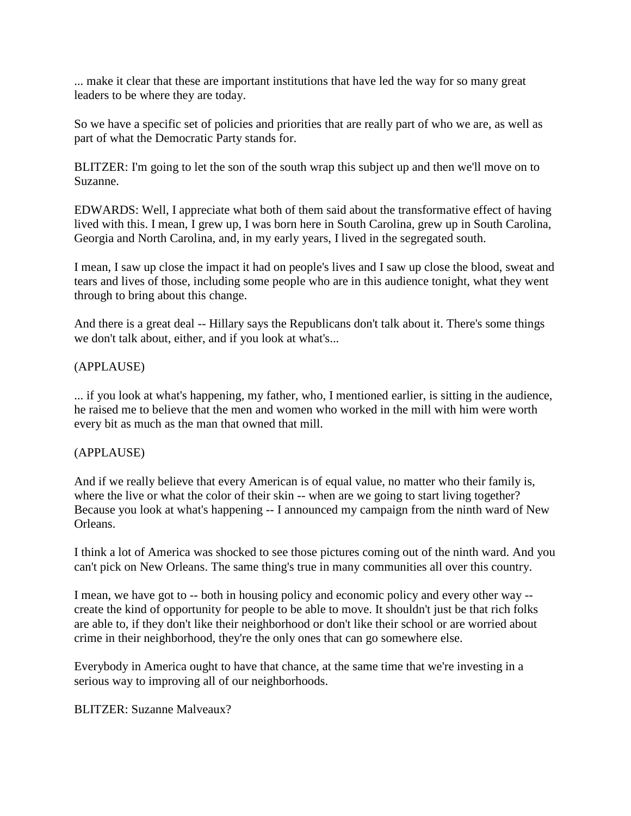... make it clear that these are important institutions that have led the way for so many great leaders to be where they are today.

So we have a specific set of policies and priorities that are really part of who we are, as well as part of what the Democratic Party stands for.

BLITZER: I'm going to let the son of the south wrap this subject up and then we'll move on to Suzanne.

EDWARDS: Well, I appreciate what both of them said about the transformative effect of having lived with this. I mean, I grew up, I was born here in South Carolina, grew up in South Carolina, Georgia and North Carolina, and, in my early years, I lived in the segregated south.

I mean, I saw up close the impact it had on people's lives and I saw up close the blood, sweat and tears and lives of those, including some people who are in this audience tonight, what they went through to bring about this change.

And there is a great deal -- Hillary says the Republicans don't talk about it. There's some things we don't talk about, either, and if you look at what's...

## (APPLAUSE)

... if you look at what's happening, my father, who, I mentioned earlier, is sitting in the audience, he raised me to believe that the men and women who worked in the mill with him were worth every bit as much as the man that owned that mill.

#### (APPLAUSE)

And if we really believe that every American is of equal value, no matter who their family is, where the live or what the color of their skin -- when are we going to start living together? Because you look at what's happening -- I announced my campaign from the ninth ward of New Orleans.

I think a lot of America was shocked to see those pictures coming out of the ninth ward. And you can't pick on New Orleans. The same thing's true in many communities all over this country.

I mean, we have got to -- both in housing policy and economic policy and every other way - create the kind of opportunity for people to be able to move. It shouldn't just be that rich folks are able to, if they don't like their neighborhood or don't like their school or are worried about crime in their neighborhood, they're the only ones that can go somewhere else.

Everybody in America ought to have that chance, at the same time that we're investing in a serious way to improving all of our neighborhoods.

BLITZER: Suzanne Malveaux?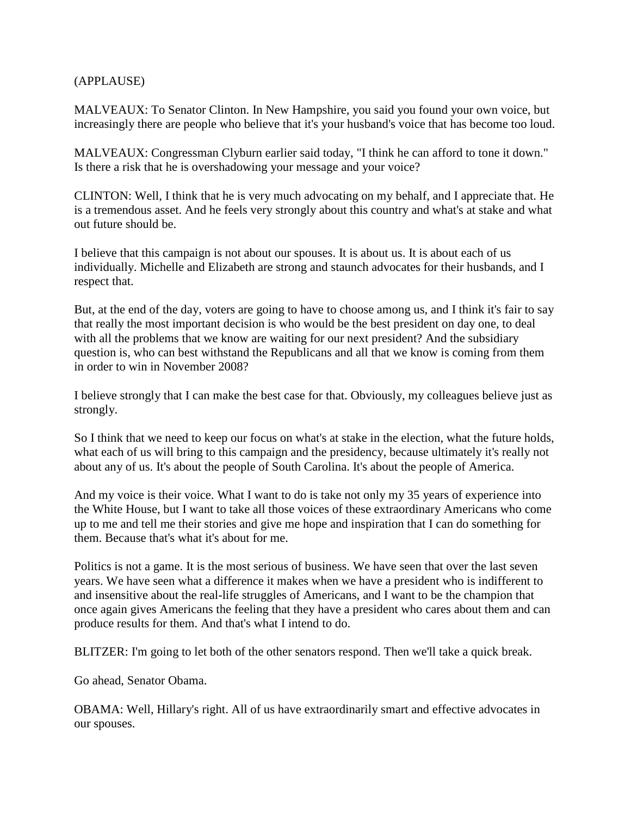## (APPLAUSE)

MALVEAUX: To Senator Clinton. In New Hampshire, you said you found your own voice, but increasingly there are people who believe that it's your husband's voice that has become too loud.

MALVEAUX: Congressman Clyburn earlier said today, "I think he can afford to tone it down." Is there a risk that he is overshadowing your message and your voice?

CLINTON: Well, I think that he is very much advocating on my behalf, and I appreciate that. He is a tremendous asset. And he feels very strongly about this country and what's at stake and what out future should be.

I believe that this campaign is not about our spouses. It is about us. It is about each of us individually. Michelle and Elizabeth are strong and staunch advocates for their husbands, and I respect that.

But, at the end of the day, voters are going to have to choose among us, and I think it's fair to say that really the most important decision is who would be the best president on day one, to deal with all the problems that we know are waiting for our next president? And the subsidiary question is, who can best withstand the Republicans and all that we know is coming from them in order to win in November 2008?

I believe strongly that I can make the best case for that. Obviously, my colleagues believe just as strongly.

So I think that we need to keep our focus on what's at stake in the election, what the future holds, what each of us will bring to this campaign and the presidency, because ultimately it's really not about any of us. It's about the people of South Carolina. It's about the people of America.

And my voice is their voice. What I want to do is take not only my 35 years of experience into the White House, but I want to take all those voices of these extraordinary Americans who come up to me and tell me their stories and give me hope and inspiration that I can do something for them. Because that's what it's about for me.

Politics is not a game. It is the most serious of business. We have seen that over the last seven years. We have seen what a difference it makes when we have a president who is indifferent to and insensitive about the real-life struggles of Americans, and I want to be the champion that once again gives Americans the feeling that they have a president who cares about them and can produce results for them. And that's what I intend to do.

BLITZER: I'm going to let both of the other senators respond. Then we'll take a quick break.

Go ahead, Senator Obama.

OBAMA: Well, Hillary's right. All of us have extraordinarily smart and effective advocates in our spouses.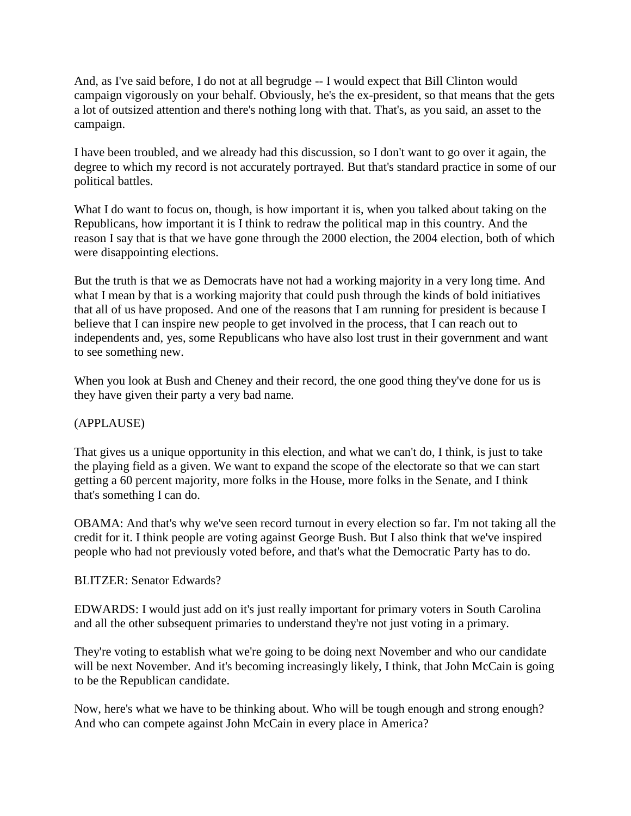And, as I've said before, I do not at all begrudge -- I would expect that Bill Clinton would campaign vigorously on your behalf. Obviously, he's the ex-president, so that means that the gets a lot of outsized attention and there's nothing long with that. That's, as you said, an asset to the campaign.

I have been troubled, and we already had this discussion, so I don't want to go over it again, the degree to which my record is not accurately portrayed. But that's standard practice in some of our political battles.

What I do want to focus on, though, is how important it is, when you talked about taking on the Republicans, how important it is I think to redraw the political map in this country. And the reason I say that is that we have gone through the 2000 election, the 2004 election, both of which were disappointing elections.

But the truth is that we as Democrats have not had a working majority in a very long time. And what I mean by that is a working majority that could push through the kinds of bold initiatives that all of us have proposed. And one of the reasons that I am running for president is because I believe that I can inspire new people to get involved in the process, that I can reach out to independents and, yes, some Republicans who have also lost trust in their government and want to see something new.

When you look at Bush and Cheney and their record, the one good thing they've done for us is they have given their party a very bad name.

#### (APPLAUSE)

That gives us a unique opportunity in this election, and what we can't do, I think, is just to take the playing field as a given. We want to expand the scope of the electorate so that we can start getting a 60 percent majority, more folks in the House, more folks in the Senate, and I think that's something I can do.

OBAMA: And that's why we've seen record turnout in every election so far. I'm not taking all the credit for it. I think people are voting against George Bush. But I also think that we've inspired people who had not previously voted before, and that's what the Democratic Party has to do.

#### BLITZER: Senator Edwards?

EDWARDS: I would just add on it's just really important for primary voters in South Carolina and all the other subsequent primaries to understand they're not just voting in a primary.

They're voting to establish what we're going to be doing next November and who our candidate will be next November. And it's becoming increasingly likely, I think, that John McCain is going to be the Republican candidate.

Now, here's what we have to be thinking about. Who will be tough enough and strong enough? And who can compete against John McCain in every place in America?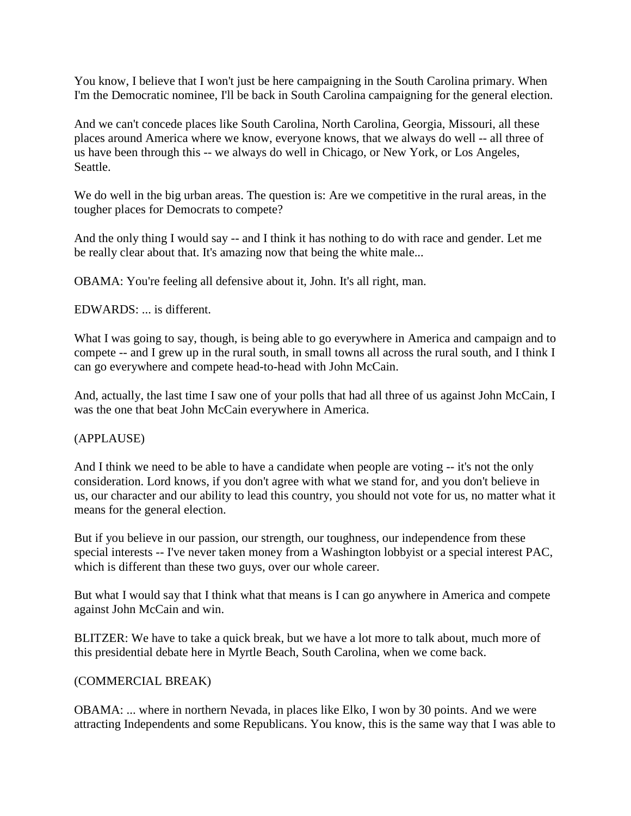You know, I believe that I won't just be here campaigning in the South Carolina primary. When I'm the Democratic nominee, I'll be back in South Carolina campaigning for the general election.

And we can't concede places like South Carolina, North Carolina, Georgia, Missouri, all these places around America where we know, everyone knows, that we always do well -- all three of us have been through this -- we always do well in Chicago, or New York, or Los Angeles, Seattle.

We do well in the big urban areas. The question is: Are we competitive in the rural areas, in the tougher places for Democrats to compete?

And the only thing I would say -- and I think it has nothing to do with race and gender. Let me be really clear about that. It's amazing now that being the white male...

OBAMA: You're feeling all defensive about it, John. It's all right, man.

EDWARDS: ... is different.

What I was going to say, though, is being able to go everywhere in America and campaign and to compete -- and I grew up in the rural south, in small towns all across the rural south, and I think I can go everywhere and compete head-to-head with John McCain.

And, actually, the last time I saw one of your polls that had all three of us against John McCain, I was the one that beat John McCain everywhere in America.

#### (APPLAUSE)

And I think we need to be able to have a candidate when people are voting -- it's not the only consideration. Lord knows, if you don't agree with what we stand for, and you don't believe in us, our character and our ability to lead this country, you should not vote for us, no matter what it means for the general election.

But if you believe in our passion, our strength, our toughness, our independence from these special interests -- I've never taken money from a Washington lobbyist or a special interest PAC, which is different than these two guys, over our whole career.

But what I would say that I think what that means is I can go anywhere in America and compete against John McCain and win.

BLITZER: We have to take a quick break, but we have a lot more to talk about, much more of this presidential debate here in Myrtle Beach, South Carolina, when we come back.

#### (COMMERCIAL BREAK)

OBAMA: ... where in northern Nevada, in places like Elko, I won by 30 points. And we were attracting Independents and some Republicans. You know, this is the same way that I was able to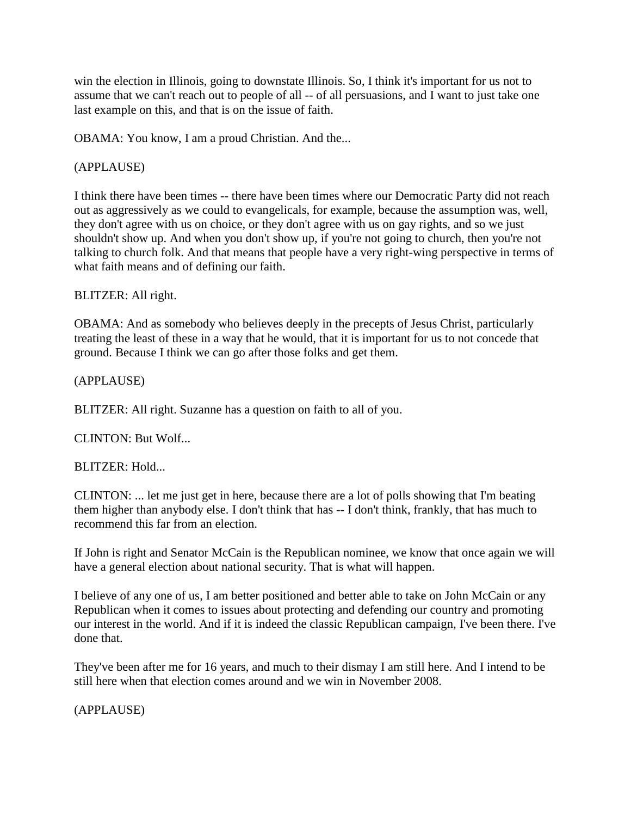win the election in Illinois, going to downstate Illinois. So, I think it's important for us not to assume that we can't reach out to people of all -- of all persuasions, and I want to just take one last example on this, and that is on the issue of faith.

OBAMA: You know, I am a proud Christian. And the...

(APPLAUSE)

I think there have been times -- there have been times where our Democratic Party did not reach out as aggressively as we could to evangelicals, for example, because the assumption was, well, they don't agree with us on choice, or they don't agree with us on gay rights, and so we just shouldn't show up. And when you don't show up, if you're not going to church, then you're not talking to church folk. And that means that people have a very right-wing perspective in terms of what faith means and of defining our faith.

BLITZER: All right.

OBAMA: And as somebody who believes deeply in the precepts of Jesus Christ, particularly treating the least of these in a way that he would, that it is important for us to not concede that ground. Because I think we can go after those folks and get them.

(APPLAUSE)

BLITZER: All right. Suzanne has a question on faith to all of you.

CLINTON: But Wolf...

BLITZER: Hold...

CLINTON: ... let me just get in here, because there are a lot of polls showing that I'm beating them higher than anybody else. I don't think that has -- I don't think, frankly, that has much to recommend this far from an election.

If John is right and Senator McCain is the Republican nominee, we know that once again we will have a general election about national security. That is what will happen.

I believe of any one of us, I am better positioned and better able to take on John McCain or any Republican when it comes to issues about protecting and defending our country and promoting our interest in the world. And if it is indeed the classic Republican campaign, I've been there. I've done that.

They've been after me for 16 years, and much to their dismay I am still here. And I intend to be still here when that election comes around and we win in November 2008.

(APPLAUSE)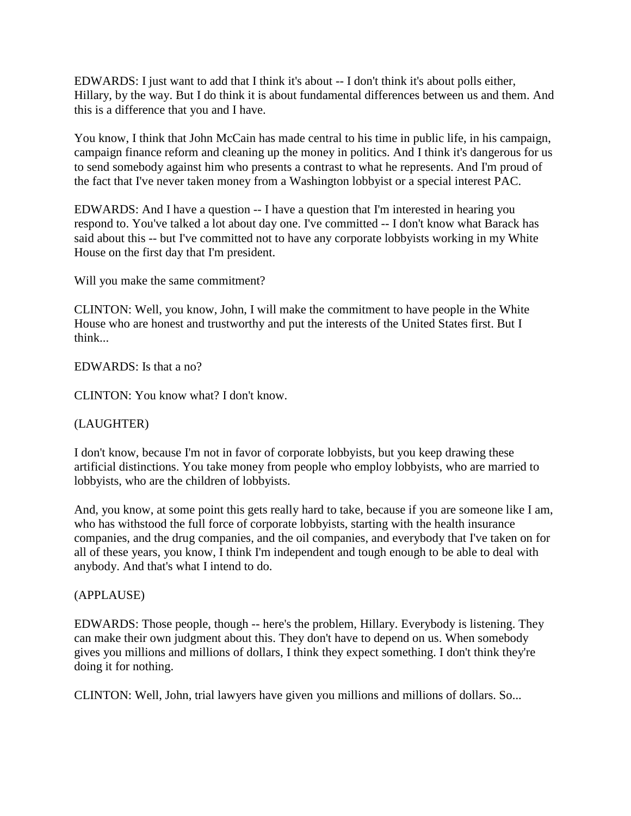EDWARDS: I just want to add that I think it's about -- I don't think it's about polls either, Hillary, by the way. But I do think it is about fundamental differences between us and them. And this is a difference that you and I have.

You know, I think that John McCain has made central to his time in public life, in his campaign, campaign finance reform and cleaning up the money in politics. And I think it's dangerous for us to send somebody against him who presents a contrast to what he represents. And I'm proud of the fact that I've never taken money from a Washington lobbyist or a special interest PAC.

EDWARDS: And I have a question -- I have a question that I'm interested in hearing you respond to. You've talked a lot about day one. I've committed -- I don't know what Barack has said about this -- but I've committed not to have any corporate lobbyists working in my White House on the first day that I'm president.

Will you make the same commitment?

CLINTON: Well, you know, John, I will make the commitment to have people in the White House who are honest and trustworthy and put the interests of the United States first. But I think...

EDWARDS: Is that a no?

CLINTON: You know what? I don't know.

#### (LAUGHTER)

I don't know, because I'm not in favor of corporate lobbyists, but you keep drawing these artificial distinctions. You take money from people who employ lobbyists, who are married to lobbyists, who are the children of lobbyists.

And, you know, at some point this gets really hard to take, because if you are someone like I am, who has withstood the full force of corporate lobbyists, starting with the health insurance companies, and the drug companies, and the oil companies, and everybody that I've taken on for all of these years, you know, I think I'm independent and tough enough to be able to deal with anybody. And that's what I intend to do.

#### (APPLAUSE)

EDWARDS: Those people, though -- here's the problem, Hillary. Everybody is listening. They can make their own judgment about this. They don't have to depend on us. When somebody gives you millions and millions of dollars, I think they expect something. I don't think they're doing it for nothing.

CLINTON: Well, John, trial lawyers have given you millions and millions of dollars. So...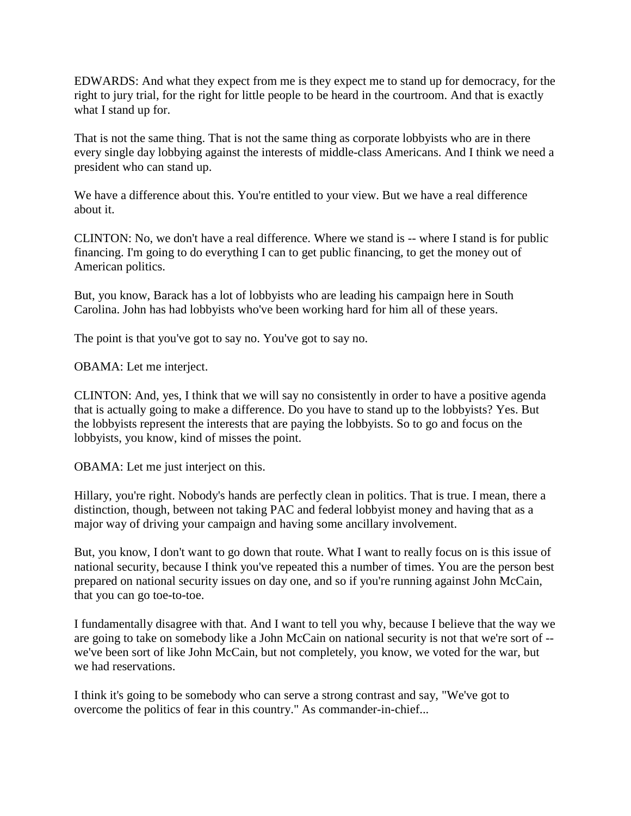EDWARDS: And what they expect from me is they expect me to stand up for democracy, for the right to jury trial, for the right for little people to be heard in the courtroom. And that is exactly what I stand up for.

That is not the same thing. That is not the same thing as corporate lobbyists who are in there every single day lobbying against the interests of middle-class Americans. And I think we need a president who can stand up.

We have a difference about this. You're entitled to your view. But we have a real difference about it.

CLINTON: No, we don't have a real difference. Where we stand is -- where I stand is for public financing. I'm going to do everything I can to get public financing, to get the money out of American politics.

But, you know, Barack has a lot of lobbyists who are leading his campaign here in South Carolina. John has had lobbyists who've been working hard for him all of these years.

The point is that you've got to say no. You've got to say no.

OBAMA: Let me interject.

CLINTON: And, yes, I think that we will say no consistently in order to have a positive agenda that is actually going to make a difference. Do you have to stand up to the lobbyists? Yes. But the lobbyists represent the interests that are paying the lobbyists. So to go and focus on the lobbyists, you know, kind of misses the point.

OBAMA: Let me just interject on this.

Hillary, you're right. Nobody's hands are perfectly clean in politics. That is true. I mean, there a distinction, though, between not taking PAC and federal lobbyist money and having that as a major way of driving your campaign and having some ancillary involvement.

But, you know, I don't want to go down that route. What I want to really focus on is this issue of national security, because I think you've repeated this a number of times. You are the person best prepared on national security issues on day one, and so if you're running against John McCain, that you can go toe-to-toe.

I fundamentally disagree with that. And I want to tell you why, because I believe that the way we are going to take on somebody like a John McCain on national security is not that we're sort of - we've been sort of like John McCain, but not completely, you know, we voted for the war, but we had reservations.

I think it's going to be somebody who can serve a strong contrast and say, "We've got to overcome the politics of fear in this country." As commander-in-chief...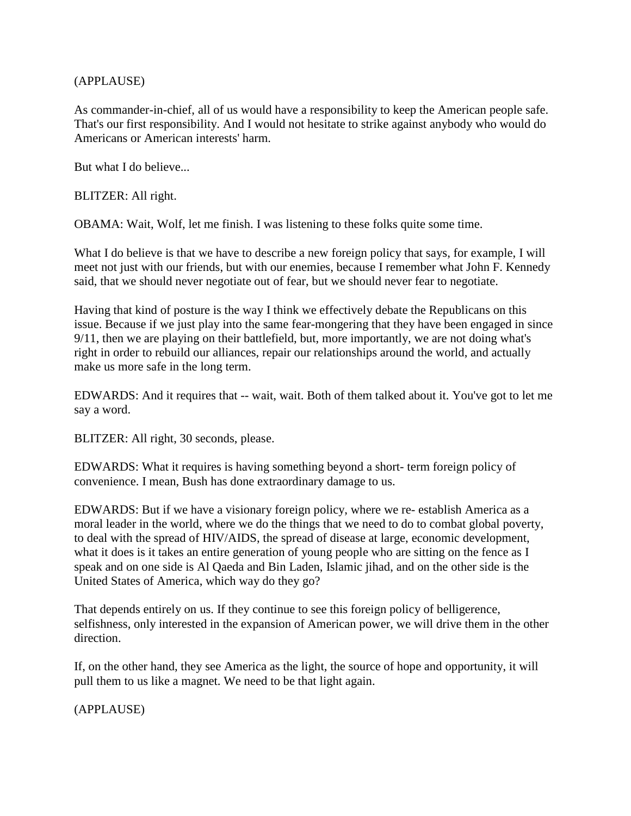(APPLAUSE)

As commander-in-chief, all of us would have a responsibility to keep the American people safe. That's our first responsibility. And I would not hesitate to strike against anybody who would do Americans or American interests' harm.

But what I do believe...

BLITZER: All right.

OBAMA: Wait, Wolf, let me finish. I was listening to these folks quite some time.

What I do believe is that we have to describe a new foreign policy that says, for example, I will meet not just with our friends, but with our enemies, because I remember what John F. Kennedy said, that we should never negotiate out of fear, but we should never fear to negotiate.

Having that kind of posture is the way I think we effectively debate the Republicans on this issue. Because if we just play into the same fear-mongering that they have been engaged in since 9/11, then we are playing on their battlefield, but, more importantly, we are not doing what's right in order to rebuild our alliances, repair our relationships around the world, and actually make us more safe in the long term.

EDWARDS: And it requires that -- wait, wait. Both of them talked about it. You've got to let me say a word.

BLITZER: All right, 30 seconds, please.

EDWARDS: What it requires is having something beyond a short- term foreign policy of convenience. I mean, Bush has done extraordinary damage to us.

EDWARDS: But if we have a visionary foreign policy, where we re- establish America as a moral leader in the world, where we do the things that we need to do to combat global poverty, to deal with the spread of HIV/AIDS, the spread of disease at large, economic development, what it does is it takes an entire generation of young people who are sitting on the fence as I speak and on one side is Al Qaeda and Bin Laden, Islamic jihad, and on the other side is the United States of America, which way do they go?

That depends entirely on us. If they continue to see this foreign policy of belligerence, selfishness, only interested in the expansion of American power, we will drive them in the other direction.

If, on the other hand, they see America as the light, the source of hope and opportunity, it will pull them to us like a magnet. We need to be that light again.

(APPLAUSE)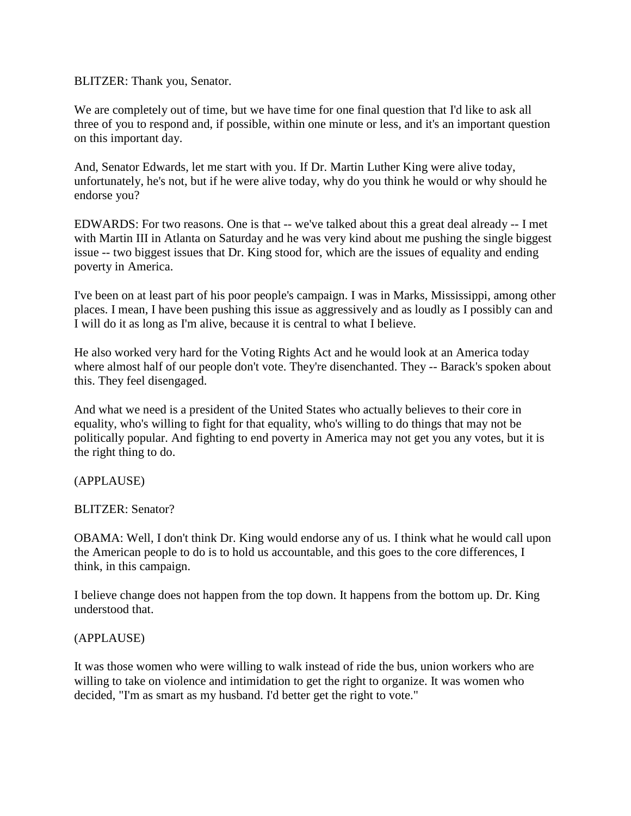BLITZER: Thank you, Senator.

We are completely out of time, but we have time for one final question that I'd like to ask all three of you to respond and, if possible, within one minute or less, and it's an important question on this important day.

And, Senator Edwards, let me start with you. If Dr. Martin Luther King were alive today, unfortunately, he's not, but if he were alive today, why do you think he would or why should he endorse you?

EDWARDS: For two reasons. One is that -- we've talked about this a great deal already -- I met with Martin III in Atlanta on Saturday and he was very kind about me pushing the single biggest issue -- two biggest issues that Dr. King stood for, which are the issues of equality and ending poverty in America.

I've been on at least part of his poor people's campaign. I was in Marks, Mississippi, among other places. I mean, I have been pushing this issue as aggressively and as loudly as I possibly can and I will do it as long as I'm alive, because it is central to what I believe.

He also worked very hard for the Voting Rights Act and he would look at an America today where almost half of our people don't vote. They're disenchanted. They -- Barack's spoken about this. They feel disengaged.

And what we need is a president of the United States who actually believes to their core in equality, who's willing to fight for that equality, who's willing to do things that may not be politically popular. And fighting to end poverty in America may not get you any votes, but it is the right thing to do.

(APPLAUSE)

BLITZER: Senator?

OBAMA: Well, I don't think Dr. King would endorse any of us. I think what he would call upon the American people to do is to hold us accountable, and this goes to the core differences, I think, in this campaign.

I believe change does not happen from the top down. It happens from the bottom up. Dr. King understood that.

(APPLAUSE)

It was those women who were willing to walk instead of ride the bus, union workers who are willing to take on violence and intimidation to get the right to organize. It was women who decided, "I'm as smart as my husband. I'd better get the right to vote."